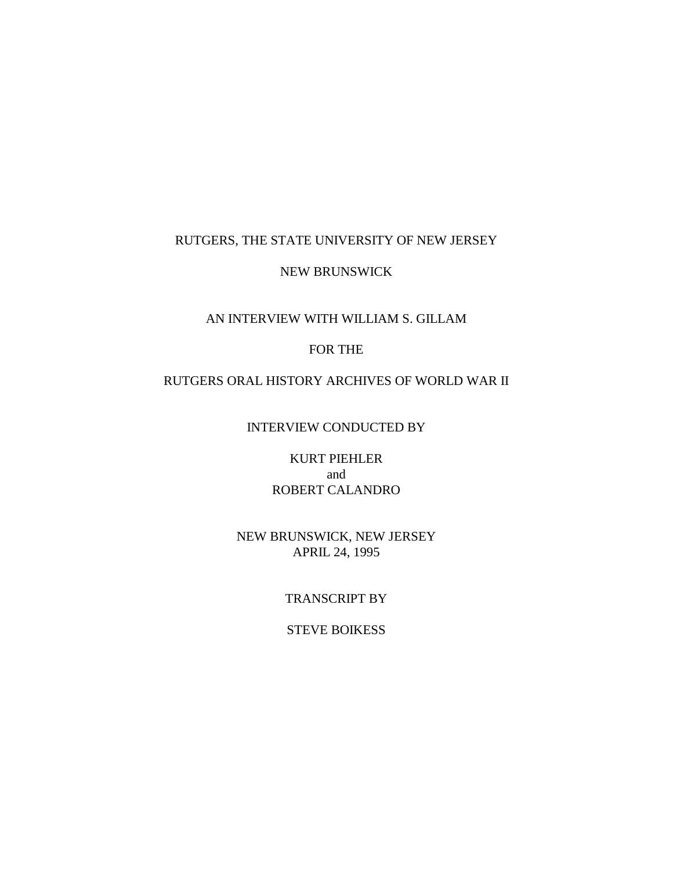### RUTGERS, THE STATE UNIVERSITY OF NEW JERSEY

### NEW BRUNSWICK

#### AN INTERVIEW WITH WILLIAM S. GILLAM

## FOR THE

### RUTGERS ORAL HISTORY ARCHIVES OF WORLD WAR II

INTERVIEW CONDUCTED BY

KURT PIEHLER and ROBERT CALANDRO

## NEW BRUNSWICK, NEW JERSEY APRIL 24, 1995

## TRANSCRIPT BY

# STEVE BOIKESS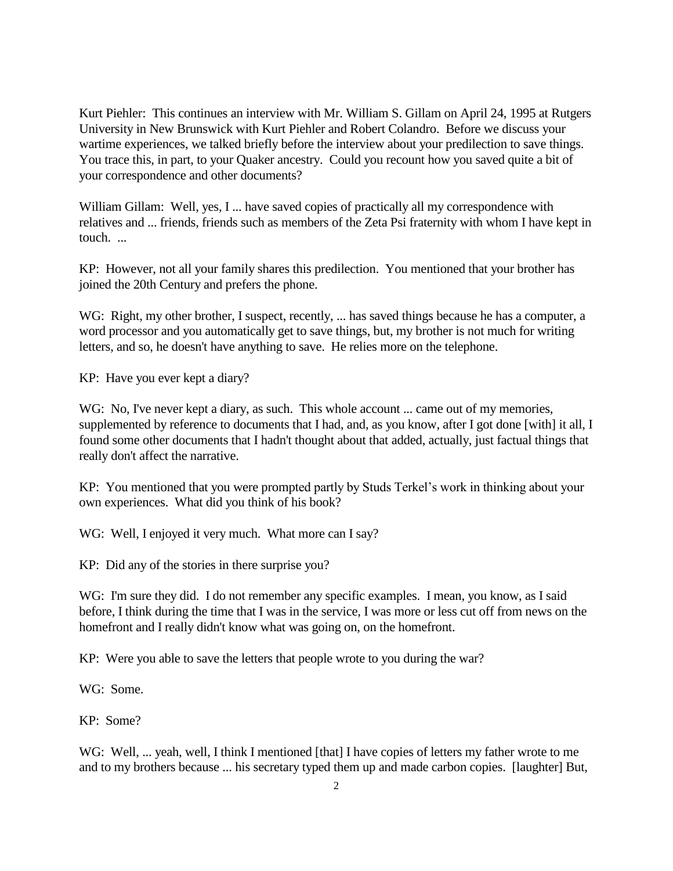Kurt Piehler: This continues an interview with Mr. William S. Gillam on April 24, 1995 at Rutgers University in New Brunswick with Kurt Piehler and Robert Colandro. Before we discuss your wartime experiences, we talked briefly before the interview about your predilection to save things. You trace this, in part, to your Quaker ancestry. Could you recount how you saved quite a bit of your correspondence and other documents?

William Gillam: Well, yes, I ... have saved copies of practically all my correspondence with relatives and ... friends, friends such as members of the Zeta Psi fraternity with whom I have kept in touch. ...

KP: However, not all your family shares this predilection. You mentioned that your brother has joined the 20th Century and prefers the phone.

WG: Right, my other brother, I suspect, recently, ... has saved things because he has a computer, a word processor and you automatically get to save things, but, my brother is not much for writing letters, and so, he doesn't have anything to save. He relies more on the telephone.

KP: Have you ever kept a diary?

WG: No, I've never kept a diary, as such. This whole account ... came out of my memories, supplemented by reference to documents that I had, and, as you know, after I got done [with] it all, I found some other documents that I hadn't thought about that added, actually, just factual things that really don't affect the narrative.

KP: You mentioned that you were prompted partly by Studs Terkel's work in thinking about your own experiences. What did you think of his book?

WG: Well, I enjoyed it very much. What more can I say?

KP: Did any of the stories in there surprise you?

WG: I'm sure they did. I do not remember any specific examples. I mean, you know, as I said before, I think during the time that I was in the service, I was more or less cut off from news on the homefront and I really didn't know what was going on, on the homefront.

KP: Were you able to save the letters that people wrote to you during the war?

WG: Some.

KP: Some?

WG: Well, ... yeah, well, I think I mentioned [that] I have copies of letters my father wrote to me and to my brothers because ... his secretary typed them up and made carbon copies. [laughter] But,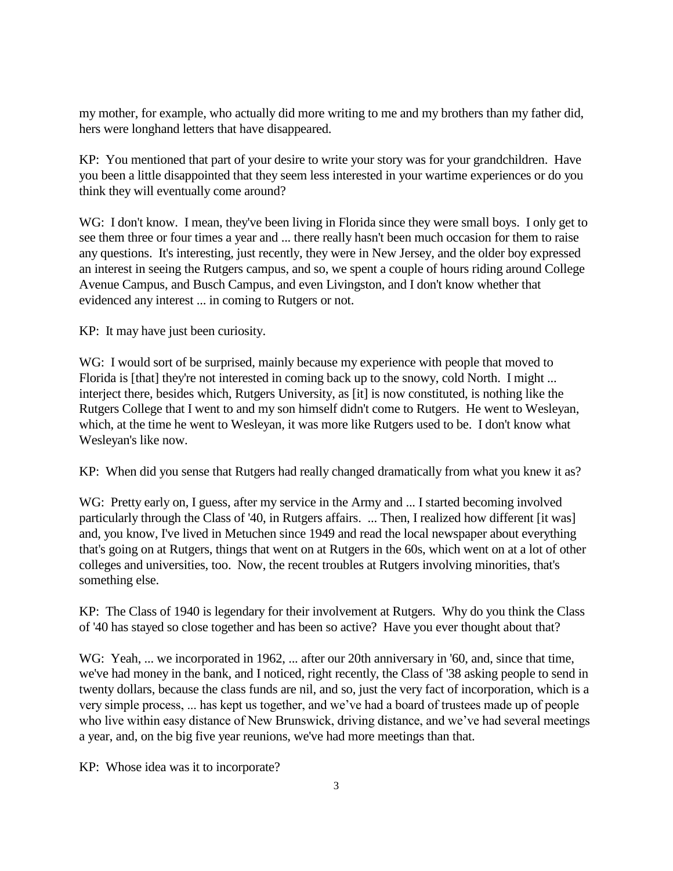my mother, for example, who actually did more writing to me and my brothers than my father did, hers were longhand letters that have disappeared.

KP: You mentioned that part of your desire to write your story was for your grandchildren. Have you been a little disappointed that they seem less interested in your wartime experiences or do you think they will eventually come around?

WG: I don't know. I mean, they've been living in Florida since they were small boys. I only get to see them three or four times a year and ... there really hasn't been much occasion for them to raise any questions. It's interesting, just recently, they were in New Jersey, and the older boy expressed an interest in seeing the Rutgers campus, and so, we spent a couple of hours riding around College Avenue Campus, and Busch Campus, and even Livingston, and I don't know whether that evidenced any interest ... in coming to Rutgers or not.

KP: It may have just been curiosity.

WG: I would sort of be surprised, mainly because my experience with people that moved to Florida is [that] they're not interested in coming back up to the snowy, cold North. I might ... interject there, besides which, Rutgers University, as [it] is now constituted, is nothing like the Rutgers College that I went to and my son himself didn't come to Rutgers. He went to Wesleyan, which, at the time he went to Wesleyan, it was more like Rutgers used to be. I don't know what Wesleyan's like now.

KP: When did you sense that Rutgers had really changed dramatically from what you knew it as?

WG: Pretty early on, I guess, after my service in the Army and ... I started becoming involved particularly through the Class of '40, in Rutgers affairs. ... Then, I realized how different [it was] and, you know, I've lived in Metuchen since 1949 and read the local newspaper about everything that's going on at Rutgers, things that went on at Rutgers in the 60s, which went on at a lot of other colleges and universities, too. Now, the recent troubles at Rutgers involving minorities, that's something else.

KP: The Class of 1940 is legendary for their involvement at Rutgers. Why do you think the Class of '40 has stayed so close together and has been so active? Have you ever thought about that?

WG: Yeah, ... we incorporated in 1962, ... after our 20th anniversary in '60, and, since that time, we've had money in the bank, and I noticed, right recently, the Class of '38 asking people to send in twenty dollars, because the class funds are nil, and so, just the very fact of incorporation, which is a very simple process, ... has kept us together, and we've had a board of trustees made up of people who live within easy distance of New Brunswick, driving distance, and we've had several meetings a year, and, on the big five year reunions, we've had more meetings than that.

KP: Whose idea was it to incorporate?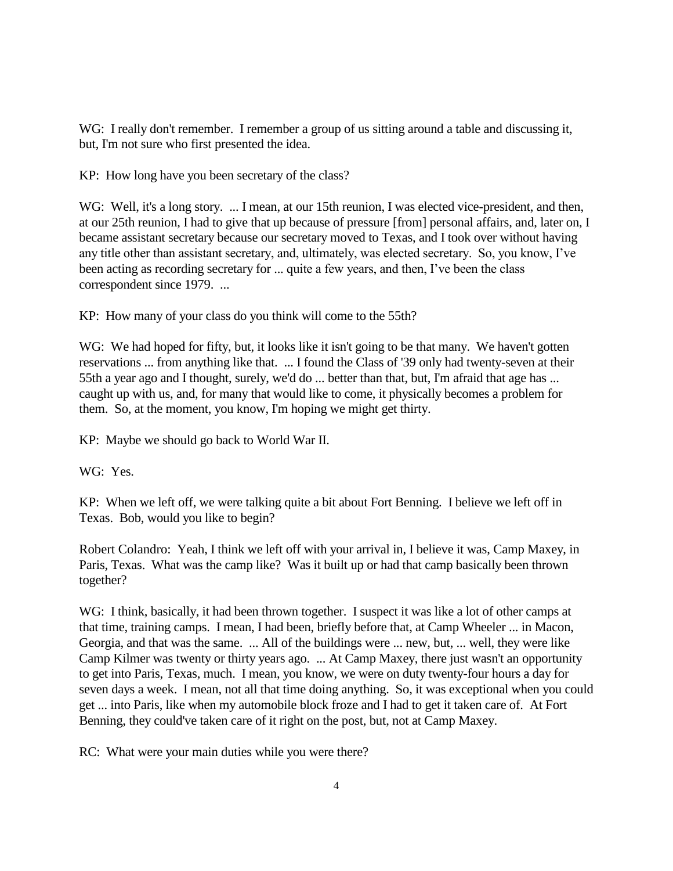WG: I really don't remember. I remember a group of us sitting around a table and discussing it, but, I'm not sure who first presented the idea.

KP: How long have you been secretary of the class?

WG: Well, it's a long story. ... I mean, at our 15th reunion, I was elected vice-president, and then, at our 25th reunion, I had to give that up because of pressure [from] personal affairs, and, later on, I became assistant secretary because our secretary moved to Texas, and I took over without having any title other than assistant secretary, and, ultimately, was elected secretary. So, you know, I've been acting as recording secretary for ... quite a few years, and then, I've been the class correspondent since 1979. ...

KP: How many of your class do you think will come to the 55th?

WG: We had hoped for fifty, but, it looks like it isn't going to be that many. We haven't gotten reservations ... from anything like that. ... I found the Class of '39 only had twenty-seven at their 55th a year ago and I thought, surely, we'd do ... better than that, but, I'm afraid that age has ... caught up with us, and, for many that would like to come, it physically becomes a problem for them. So, at the moment, you know, I'm hoping we might get thirty.

KP: Maybe we should go back to World War II.

WG: Yes.

KP: When we left off, we were talking quite a bit about Fort Benning. I believe we left off in Texas. Bob, would you like to begin?

Robert Colandro: Yeah, I think we left off with your arrival in, I believe it was, Camp Maxey, in Paris, Texas. What was the camp like? Was it built up or had that camp basically been thrown together?

WG: I think, basically, it had been thrown together. I suspect it was like a lot of other camps at that time, training camps. I mean, I had been, briefly before that, at Camp Wheeler ... in Macon, Georgia, and that was the same. ... All of the buildings were ... new, but, ... well, they were like Camp Kilmer was twenty or thirty years ago. ... At Camp Maxey, there just wasn't an opportunity to get into Paris, Texas, much. I mean, you know, we were on duty twenty-four hours a day for seven days a week. I mean, not all that time doing anything. So, it was exceptional when you could get ... into Paris, like when my automobile block froze and I had to get it taken care of. At Fort Benning, they could've taken care of it right on the post, but, not at Camp Maxey.

RC: What were your main duties while you were there?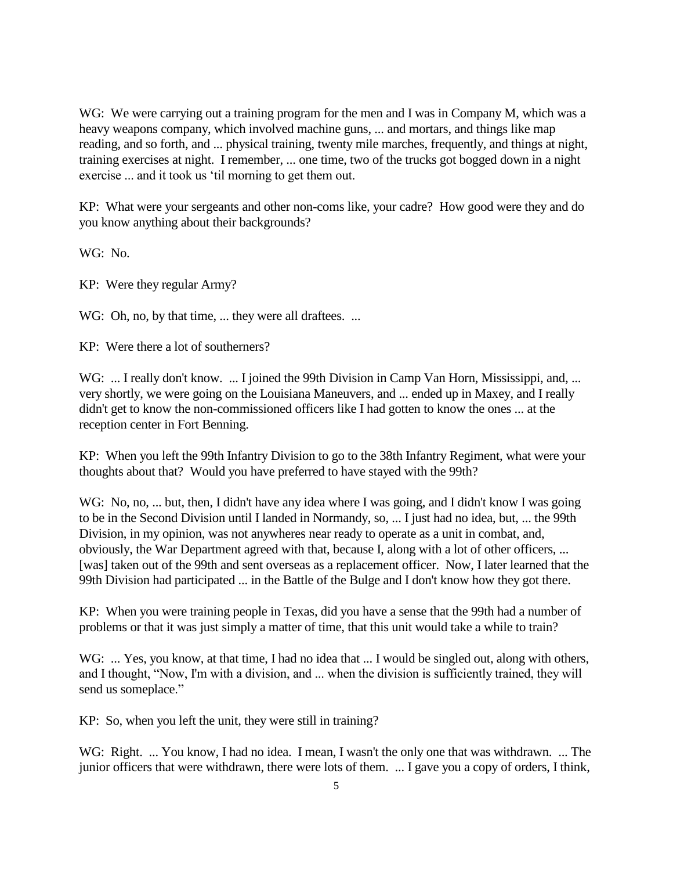WG: We were carrying out a training program for the men and I was in Company M, which was a heavy weapons company, which involved machine guns, ... and mortars, and things like map reading, and so forth, and ... physical training, twenty mile marches, frequently, and things at night, training exercises at night. I remember, ... one time, two of the trucks got bogged down in a night exercise ... and it took us 'til morning to get them out.

KP: What were your sergeants and other non-coms like, your cadre? How good were they and do you know anything about their backgrounds?

WG: No.

KP: Were they regular Army?

WG: Oh, no, by that time, ... they were all draftees. ...

KP: Were there a lot of southerners?

WG: ... I really don't know. ... I joined the 99th Division in Camp Van Horn, Mississippi, and, ... very shortly, we were going on the Louisiana Maneuvers, and ... ended up in Maxey, and I really didn't get to know the non-commissioned officers like I had gotten to know the ones ... at the reception center in Fort Benning.

KP: When you left the 99th Infantry Division to go to the 38th Infantry Regiment, what were your thoughts about that? Would you have preferred to have stayed with the 99th?

WG: No, no, ... but, then, I didn't have any idea where I was going, and I didn't know I was going to be in the Second Division until I landed in Normandy, so, ... I just had no idea, but, ... the 99th Division, in my opinion, was not anywheres near ready to operate as a unit in combat, and, obviously, the War Department agreed with that, because I, along with a lot of other officers, ... [was] taken out of the 99th and sent overseas as a replacement officer. Now, I later learned that the 99th Division had participated ... in the Battle of the Bulge and I don't know how they got there.

KP: When you were training people in Texas, did you have a sense that the 99th had a number of problems or that it was just simply a matter of time, that this unit would take a while to train?

WG: ... Yes, you know, at that time, I had no idea that ... I would be singled out, along with others, and I thought, "Now, I'm with a division, and ... when the division is sufficiently trained, they will send us someplace."

KP: So, when you left the unit, they were still in training?

WG: Right. ... You know, I had no idea. I mean, I wasn't the only one that was withdrawn. ... The junior officers that were withdrawn, there were lots of them. ... I gave you a copy of orders, I think,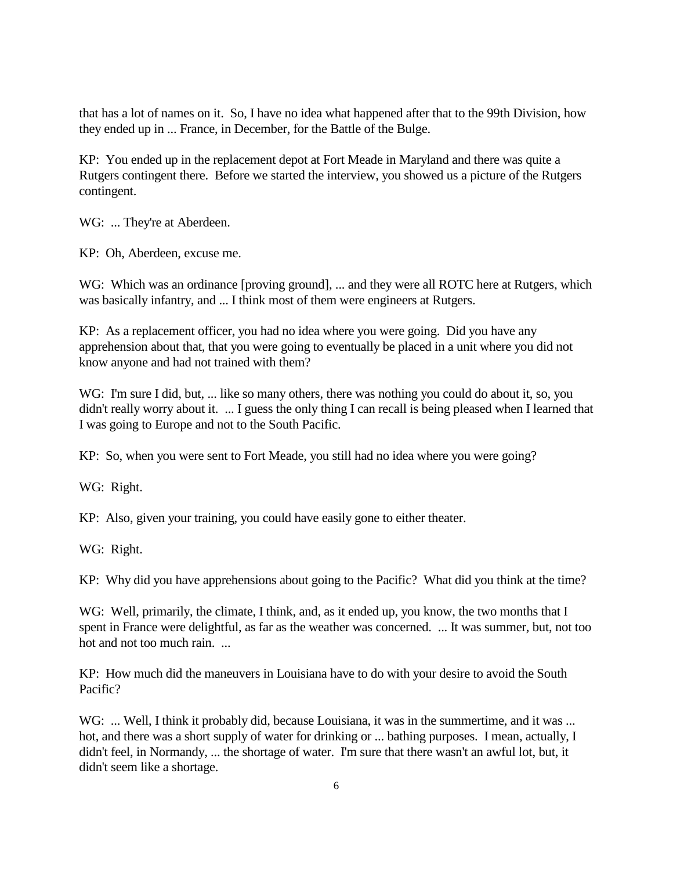that has a lot of names on it. So, I have no idea what happened after that to the 99th Division, how they ended up in ... France, in December, for the Battle of the Bulge.

KP: You ended up in the replacement depot at Fort Meade in Maryland and there was quite a Rutgers contingent there. Before we started the interview, you showed us a picture of the Rutgers contingent.

WG: ... They're at Aberdeen.

KP: Oh, Aberdeen, excuse me.

WG: Which was an ordinance [proving ground], ... and they were all ROTC here at Rutgers, which was basically infantry, and ... I think most of them were engineers at Rutgers.

KP: As a replacement officer, you had no idea where you were going. Did you have any apprehension about that, that you were going to eventually be placed in a unit where you did not know anyone and had not trained with them?

WG: I'm sure I did, but, ... like so many others, there was nothing you could do about it, so, you didn't really worry about it. ... I guess the only thing I can recall is being pleased when I learned that I was going to Europe and not to the South Pacific.

KP: So, when you were sent to Fort Meade, you still had no idea where you were going?

WG: Right.

KP: Also, given your training, you could have easily gone to either theater.

WG: Right.

KP: Why did you have apprehensions about going to the Pacific? What did you think at the time?

WG: Well, primarily, the climate, I think, and, as it ended up, you know, the two months that I spent in France were delightful, as far as the weather was concerned. ... It was summer, but, not too hot and not too much rain.

KP: How much did the maneuvers in Louisiana have to do with your desire to avoid the South Pacific?

WG: ... Well, I think it probably did, because Louisiana, it was in the summertime, and it was ... hot, and there was a short supply of water for drinking or ... bathing purposes. I mean, actually, I didn't feel, in Normandy, ... the shortage of water. I'm sure that there wasn't an awful lot, but, it didn't seem like a shortage.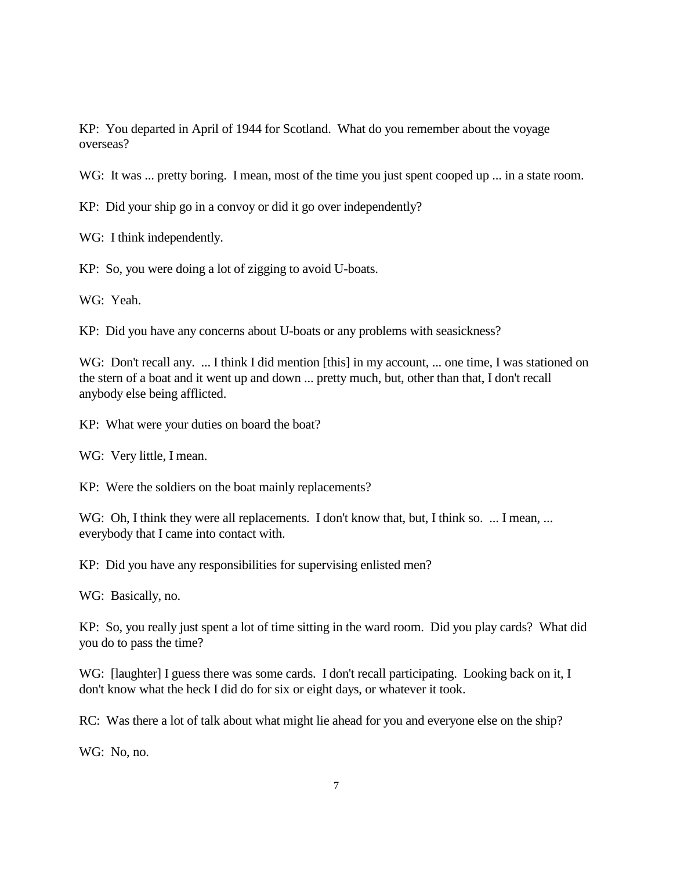KP: You departed in April of 1944 for Scotland. What do you remember about the voyage overseas?

WG: It was ... pretty boring. I mean, most of the time you just spent cooped up ... in a state room.

KP: Did your ship go in a convoy or did it go over independently?

WG: I think independently.

KP: So, you were doing a lot of zigging to avoid U-boats.

WG: Yeah.

KP: Did you have any concerns about U-boats or any problems with seasickness?

WG: Don't recall any. ... I think I did mention [this] in my account, ... one time, I was stationed on the stern of a boat and it went up and down ... pretty much, but, other than that, I don't recall anybody else being afflicted.

KP: What were your duties on board the boat?

WG: Very little, I mean.

KP: Were the soldiers on the boat mainly replacements?

WG: Oh, I think they were all replacements. I don't know that, but, I think so. ... I mean, ... everybody that I came into contact with.

KP: Did you have any responsibilities for supervising enlisted men?

WG: Basically, no.

KP: So, you really just spent a lot of time sitting in the ward room. Did you play cards? What did you do to pass the time?

WG: [laughter] I guess there was some cards. I don't recall participating. Looking back on it, I don't know what the heck I did do for six or eight days, or whatever it took.

RC: Was there a lot of talk about what might lie ahead for you and everyone else on the ship?

WG: No, no.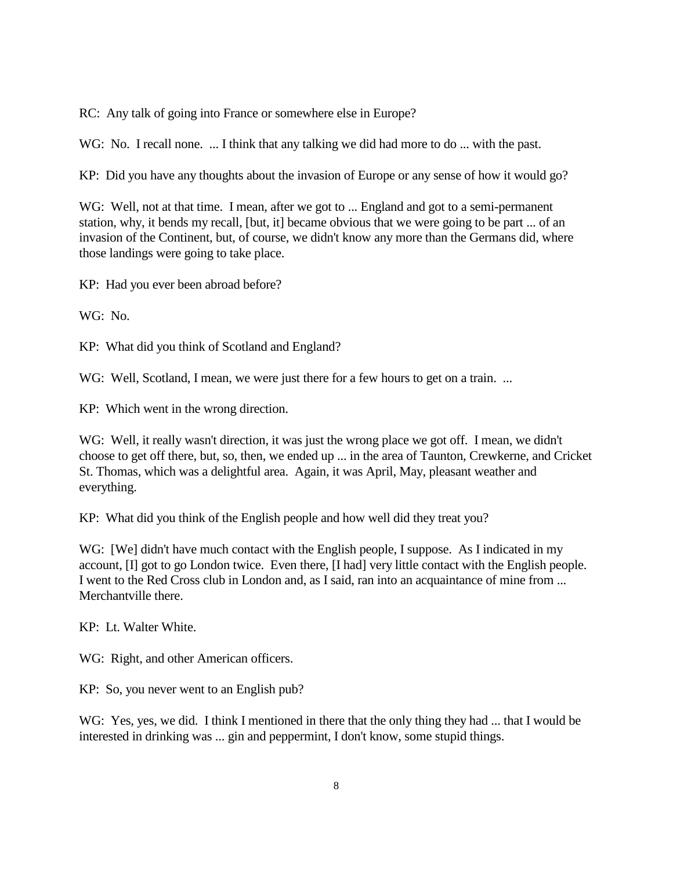RC: Any talk of going into France or somewhere else in Europe?

WG: No. I recall none. ... I think that any talking we did had more to do ... with the past.

KP: Did you have any thoughts about the invasion of Europe or any sense of how it would go?

WG: Well, not at that time. I mean, after we got to ... England and got to a semi-permanent station, why, it bends my recall, [but, it] became obvious that we were going to be part ... of an invasion of the Continent, but, of course, we didn't know any more than the Germans did, where those landings were going to take place.

KP: Had you ever been abroad before?

WG: No.

KP: What did you think of Scotland and England?

WG: Well, Scotland, I mean, we were just there for a few hours to get on a train. ...

KP: Which went in the wrong direction.

WG: Well, it really wasn't direction, it was just the wrong place we got off. I mean, we didn't choose to get off there, but, so, then, we ended up ... in the area of Taunton, Crewkerne, and Cricket St. Thomas, which was a delightful area. Again, it was April, May, pleasant weather and everything.

KP: What did you think of the English people and how well did they treat you?

WG: [We] didn't have much contact with the English people, I suppose. As I indicated in my account, [I] got to go London twice. Even there, [I had] very little contact with the English people. I went to the Red Cross club in London and, as I said, ran into an acquaintance of mine from ... Merchantville there.

KP: Lt. Walter White.

WG: Right, and other American officers.

KP: So, you never went to an English pub?

WG: Yes, yes, we did. I think I mentioned in there that the only thing they had ... that I would be interested in drinking was ... gin and peppermint, I don't know, some stupid things.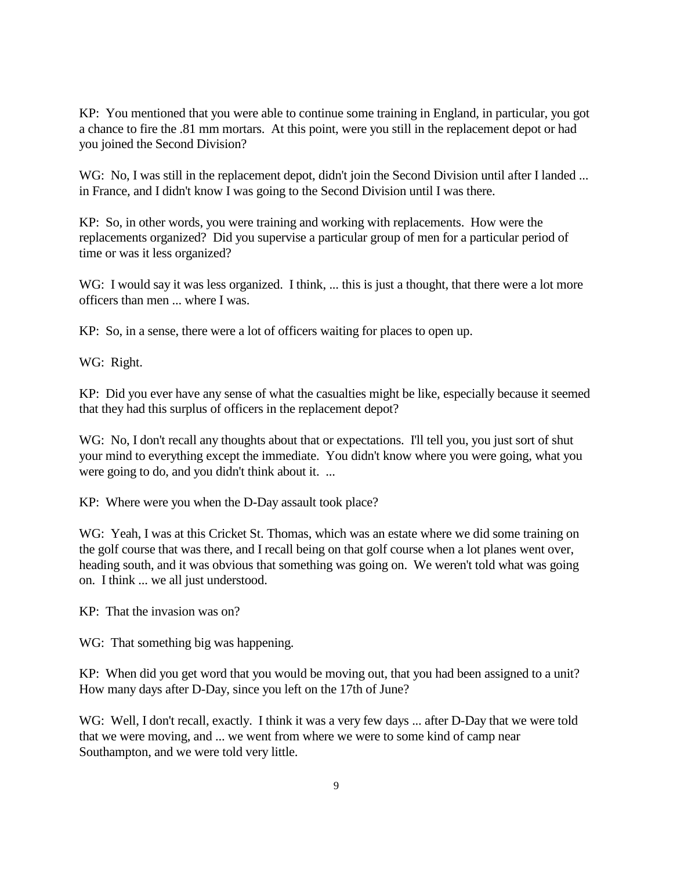KP: You mentioned that you were able to continue some training in England, in particular, you got a chance to fire the .81 mm mortars. At this point, were you still in the replacement depot or had you joined the Second Division?

WG: No, I was still in the replacement depot, didn't join the Second Division until after I landed ... in France, and I didn't know I was going to the Second Division until I was there.

KP: So, in other words, you were training and working with replacements. How were the replacements organized? Did you supervise a particular group of men for a particular period of time or was it less organized?

WG: I would say it was less organized. I think, ... this is just a thought, that there were a lot more officers than men ... where I was.

KP: So, in a sense, there were a lot of officers waiting for places to open up.

WG: Right.

KP: Did you ever have any sense of what the casualties might be like, especially because it seemed that they had this surplus of officers in the replacement depot?

WG: No, I don't recall any thoughts about that or expectations. I'll tell you, you just sort of shut your mind to everything except the immediate. You didn't know where you were going, what you were going to do, and you didn't think about it. ...

KP: Where were you when the D-Day assault took place?

WG: Yeah, I was at this Cricket St. Thomas, which was an estate where we did some training on the golf course that was there, and I recall being on that golf course when a lot planes went over, heading south, and it was obvious that something was going on. We weren't told what was going on. I think ... we all just understood.

KP: That the invasion was on?

WG: That something big was happening.

KP: When did you get word that you would be moving out, that you had been assigned to a unit? How many days after D-Day, since you left on the 17th of June?

WG: Well, I don't recall, exactly. I think it was a very few days ... after D-Day that we were told that we were moving, and ... we went from where we were to some kind of camp near Southampton, and we were told very little.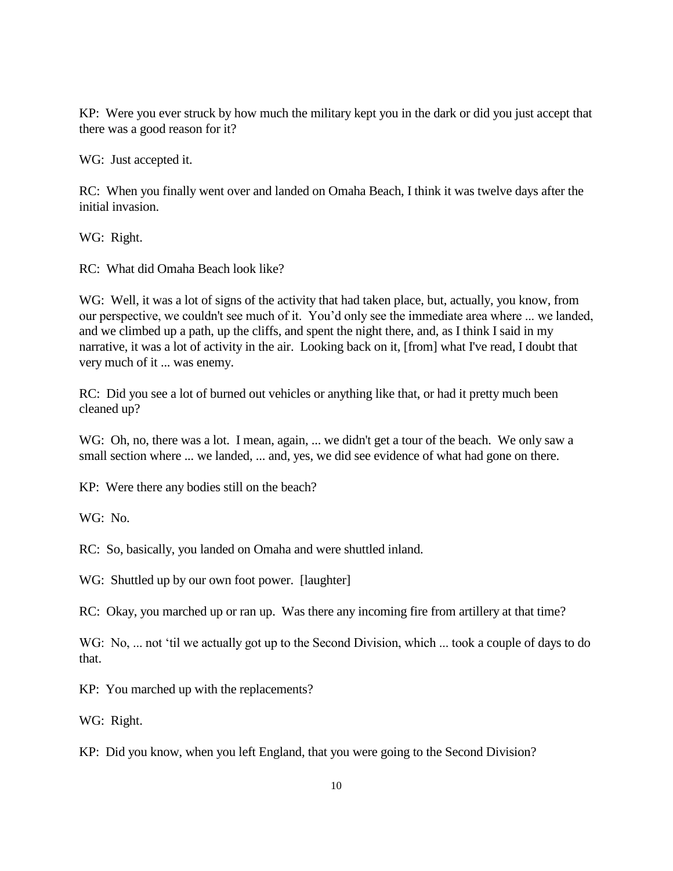KP: Were you ever struck by how much the military kept you in the dark or did you just accept that there was a good reason for it?

WG: Just accepted it.

RC: When you finally went over and landed on Omaha Beach, I think it was twelve days after the initial invasion.

WG: Right.

RC: What did Omaha Beach look like?

WG: Well, it was a lot of signs of the activity that had taken place, but, actually, you know, from our perspective, we couldn't see much of it. You'd only see the immediate area where ... we landed, and we climbed up a path, up the cliffs, and spent the night there, and, as I think I said in my narrative, it was a lot of activity in the air. Looking back on it, [from] what I've read, I doubt that very much of it ... was enemy.

RC: Did you see a lot of burned out vehicles or anything like that, or had it pretty much been cleaned up?

WG: Oh, no, there was a lot. I mean, again, ... we didn't get a tour of the beach. We only saw a small section where ... we landed, ... and, yes, we did see evidence of what had gone on there.

KP: Were there any bodies still on the beach?

WG: No.

RC: So, basically, you landed on Omaha and were shuttled inland.

WG: Shuttled up by our own foot power. [laughter]

RC: Okay, you marched up or ran up. Was there any incoming fire from artillery at that time?

WG: No, ... not 'til we actually got up to the Second Division, which ... took a couple of days to do that.

KP: You marched up with the replacements?

WG: Right.

KP: Did you know, when you left England, that you were going to the Second Division?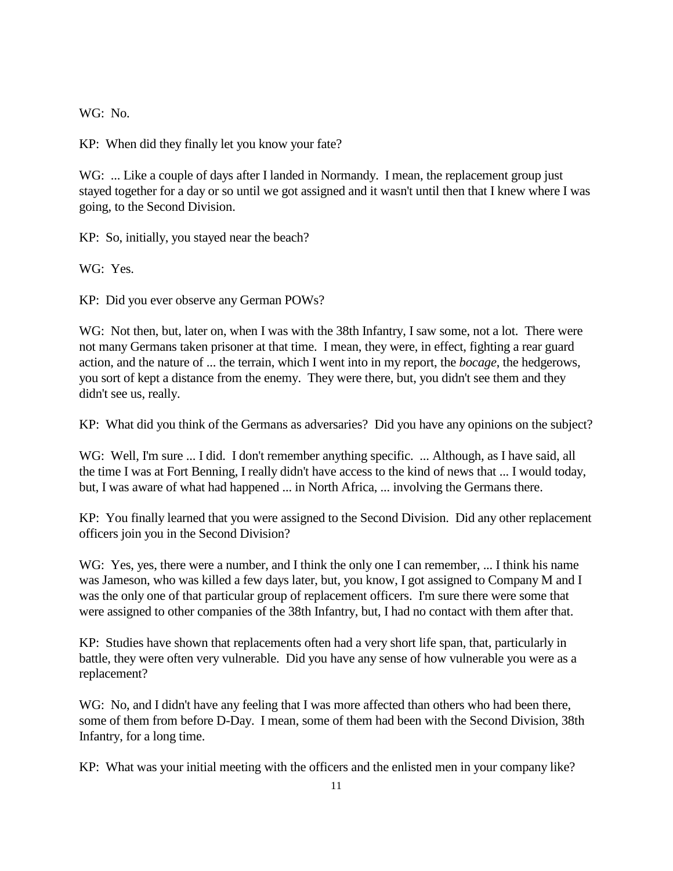WG: No.

KP: When did they finally let you know your fate?

WG: ... Like a couple of days after I landed in Normandy. I mean, the replacement group just stayed together for a day or so until we got assigned and it wasn't until then that I knew where I was going, to the Second Division.

KP: So, initially, you stayed near the beach?

WG: Yes.

KP: Did you ever observe any German POWs?

WG: Not then, but, later on, when I was with the 38th Infantry, I saw some, not a lot. There were not many Germans taken prisoner at that time. I mean, they were, in effect, fighting a rear guard action, and the nature of ... the terrain, which I went into in my report, the *bocage*, the hedgerows, you sort of kept a distance from the enemy. They were there, but, you didn't see them and they didn't see us, really.

KP: What did you think of the Germans as adversaries? Did you have any opinions on the subject?

WG: Well, I'm sure ... I did. I don't remember anything specific. ... Although, as I have said, all the time I was at Fort Benning, I really didn't have access to the kind of news that ... I would today, but, I was aware of what had happened ... in North Africa, ... involving the Germans there.

KP: You finally learned that you were assigned to the Second Division. Did any other replacement officers join you in the Second Division?

WG: Yes, yes, there were a number, and I think the only one I can remember, ... I think his name was Jameson, who was killed a few days later, but, you know, I got assigned to Company M and I was the only one of that particular group of replacement officers. I'm sure there were some that were assigned to other companies of the 38th Infantry, but, I had no contact with them after that.

KP: Studies have shown that replacements often had a very short life span, that, particularly in battle, they were often very vulnerable. Did you have any sense of how vulnerable you were as a replacement?

WG: No, and I didn't have any feeling that I was more affected than others who had been there, some of them from before D-Day. I mean, some of them had been with the Second Division, 38th Infantry, for a long time.

KP: What was your initial meeting with the officers and the enlisted men in your company like?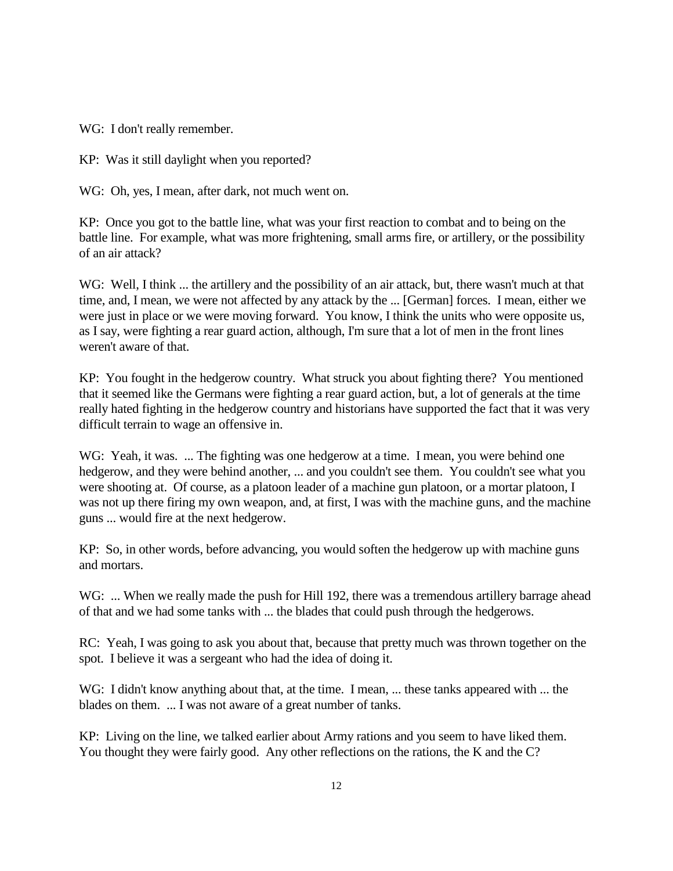WG: I don't really remember.

KP: Was it still daylight when you reported?

WG: Oh, yes, I mean, after dark, not much went on.

KP: Once you got to the battle line, what was your first reaction to combat and to being on the battle line. For example, what was more frightening, small arms fire, or artillery, or the possibility of an air attack?

WG: Well, I think ... the artillery and the possibility of an air attack, but, there wasn't much at that time, and, I mean, we were not affected by any attack by the ... [German] forces. I mean, either we were just in place or we were moving forward. You know, I think the units who were opposite us, as I say, were fighting a rear guard action, although, I'm sure that a lot of men in the front lines weren't aware of that.

KP: You fought in the hedgerow country. What struck you about fighting there? You mentioned that it seemed like the Germans were fighting a rear guard action, but, a lot of generals at the time really hated fighting in the hedgerow country and historians have supported the fact that it was very difficult terrain to wage an offensive in.

WG: Yeah, it was. ... The fighting was one hedgerow at a time. I mean, you were behind one hedgerow, and they were behind another, ... and you couldn't see them. You couldn't see what you were shooting at. Of course, as a platoon leader of a machine gun platoon, or a mortar platoon, I was not up there firing my own weapon, and, at first, I was with the machine guns, and the machine guns ... would fire at the next hedgerow.

KP: So, in other words, before advancing, you would soften the hedgerow up with machine guns and mortars.

WG: ... When we really made the push for Hill 192, there was a tremendous artillery barrage ahead of that and we had some tanks with ... the blades that could push through the hedgerows.

RC: Yeah, I was going to ask you about that, because that pretty much was thrown together on the spot. I believe it was a sergeant who had the idea of doing it.

WG: I didn't know anything about that, at the time. I mean, ... these tanks appeared with ... the blades on them. ... I was not aware of a great number of tanks.

KP: Living on the line, we talked earlier about Army rations and you seem to have liked them. You thought they were fairly good. Any other reflections on the rations, the K and the C?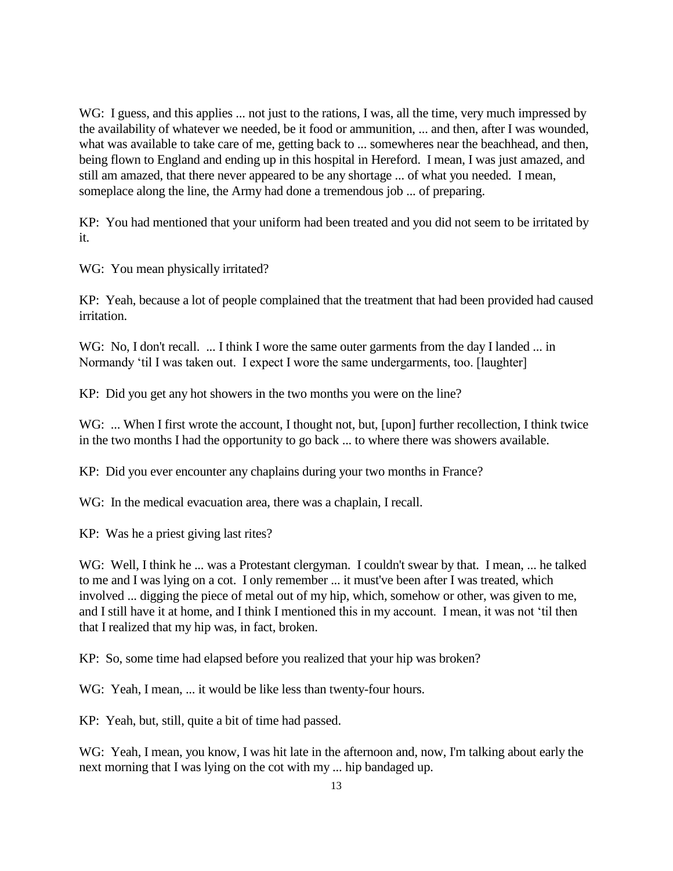WG: I guess, and this applies ... not just to the rations, I was, all the time, very much impressed by the availability of whatever we needed, be it food or ammunition, ... and then, after I was wounded, what was available to take care of me, getting back to ... somewheres near the beachhead, and then, being flown to England and ending up in this hospital in Hereford. I mean, I was just amazed, and still am amazed, that there never appeared to be any shortage ... of what you needed. I mean, someplace along the line, the Army had done a tremendous job ... of preparing.

KP: You had mentioned that your uniform had been treated and you did not seem to be irritated by it.

WG: You mean physically irritated?

KP: Yeah, because a lot of people complained that the treatment that had been provided had caused irritation.

WG: No, I don't recall. ... I think I wore the same outer garments from the day I landed ... in Normandy 'til I was taken out. I expect I wore the same undergarments, too. [laughter]

KP: Did you get any hot showers in the two months you were on the line?

WG: ... When I first wrote the account, I thought not, but, [upon] further recollection, I think twice in the two months I had the opportunity to go back ... to where there was showers available.

KP: Did you ever encounter any chaplains during your two months in France?

WG: In the medical evacuation area, there was a chaplain, I recall.

KP: Was he a priest giving last rites?

WG: Well, I think he ... was a Protestant clergyman. I couldn't swear by that. I mean, ... he talked to me and I was lying on a cot. I only remember ... it must've been after I was treated, which involved ... digging the piece of metal out of my hip, which, somehow or other, was given to me, and I still have it at home, and I think I mentioned this in my account. I mean, it was not 'til then that I realized that my hip was, in fact, broken.

KP: So, some time had elapsed before you realized that your hip was broken?

WG: Yeah, I mean, ... it would be like less than twenty-four hours.

KP: Yeah, but, still, quite a bit of time had passed.

WG: Yeah, I mean, you know, I was hit late in the afternoon and, now, I'm talking about early the next morning that I was lying on the cot with my ... hip bandaged up.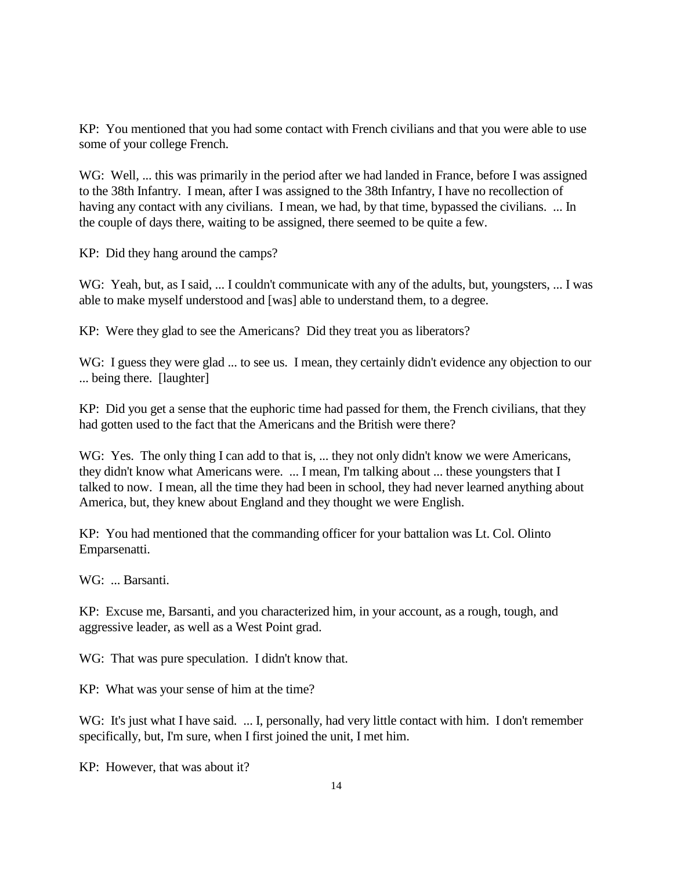KP: You mentioned that you had some contact with French civilians and that you were able to use some of your college French.

WG: Well, ... this was primarily in the period after we had landed in France, before I was assigned to the 38th Infantry. I mean, after I was assigned to the 38th Infantry, I have no recollection of having any contact with any civilians. I mean, we had, by that time, bypassed the civilians. ... In the couple of days there, waiting to be assigned, there seemed to be quite a few.

KP: Did they hang around the camps?

WG: Yeah, but, as I said, ... I couldn't communicate with any of the adults, but, youngsters, ... I was able to make myself understood and [was] able to understand them, to a degree.

KP: Were they glad to see the Americans? Did they treat you as liberators?

WG: I guess they were glad ... to see us. I mean, they certainly didn't evidence any objection to our ... being there. [laughter]

KP: Did you get a sense that the euphoric time had passed for them, the French civilians, that they had gotten used to the fact that the Americans and the British were there?

WG: Yes. The only thing I can add to that is, ... they not only didn't know we were Americans, they didn't know what Americans were. ... I mean, I'm talking about ... these youngsters that I talked to now. I mean, all the time they had been in school, they had never learned anything about America, but, they knew about England and they thought we were English.

KP: You had mentioned that the commanding officer for your battalion was Lt. Col. Olinto Emparsenatti.

WG: ... Barsanti.

KP: Excuse me, Barsanti, and you characterized him, in your account, as a rough, tough, and aggressive leader, as well as a West Point grad.

WG: That was pure speculation. I didn't know that.

KP: What was your sense of him at the time?

WG: It's just what I have said. ... I, personally, had very little contact with him. I don't remember specifically, but, I'm sure, when I first joined the unit, I met him.

KP: However, that was about it?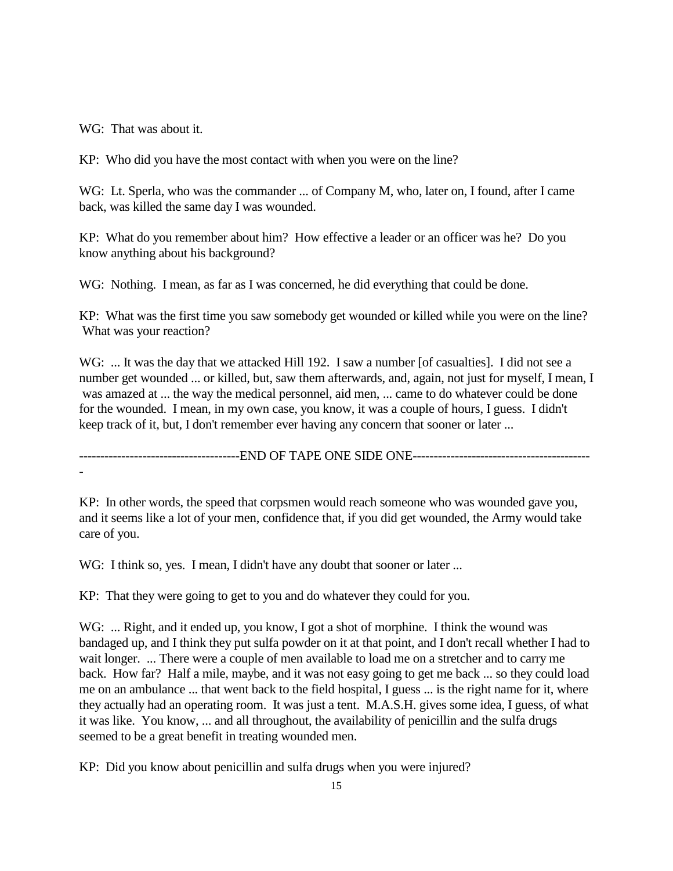WG: That was about it.

KP: Who did you have the most contact with when you were on the line?

WG: Lt. Sperla, who was the commander ... of Company M, who, later on, I found, after I came back, was killed the same day I was wounded.

KP: What do you remember about him? How effective a leader or an officer was he? Do you know anything about his background?

WG: Nothing. I mean, as far as I was concerned, he did everything that could be done.

KP: What was the first time you saw somebody get wounded or killed while you were on the line? What was your reaction?

WG: ... It was the day that we attacked Hill 192. I saw a number [of casualties]. I did not see a number get wounded ... or killed, but, saw them afterwards, and, again, not just for myself, I mean, I was amazed at ... the way the medical personnel, aid men, ... came to do whatever could be done for the wounded. I mean, in my own case, you know, it was a couple of hours, I guess. I didn't keep track of it, but, I don't remember ever having any concern that sooner or later ...

--------------------------------------END OF TAPE ONE SIDE ONE------------------------------------------ -

KP: In other words, the speed that corpsmen would reach someone who was wounded gave you, and it seems like a lot of your men, confidence that, if you did get wounded, the Army would take care of you.

WG: I think so, yes. I mean, I didn't have any doubt that sooner or later ...

KP: That they were going to get to you and do whatever they could for you.

WG: ... Right, and it ended up, you know, I got a shot of morphine. I think the wound was bandaged up, and I think they put sulfa powder on it at that point, and I don't recall whether I had to wait longer. ... There were a couple of men available to load me on a stretcher and to carry me back. How far? Half a mile, maybe, and it was not easy going to get me back ... so they could load me on an ambulance ... that went back to the field hospital, I guess ... is the right name for it, where they actually had an operating room. It was just a tent. M.A.S.H. gives some idea, I guess, of what it was like. You know, ... and all throughout, the availability of penicillin and the sulfa drugs seemed to be a great benefit in treating wounded men.

KP: Did you know about penicillin and sulfa drugs when you were injured?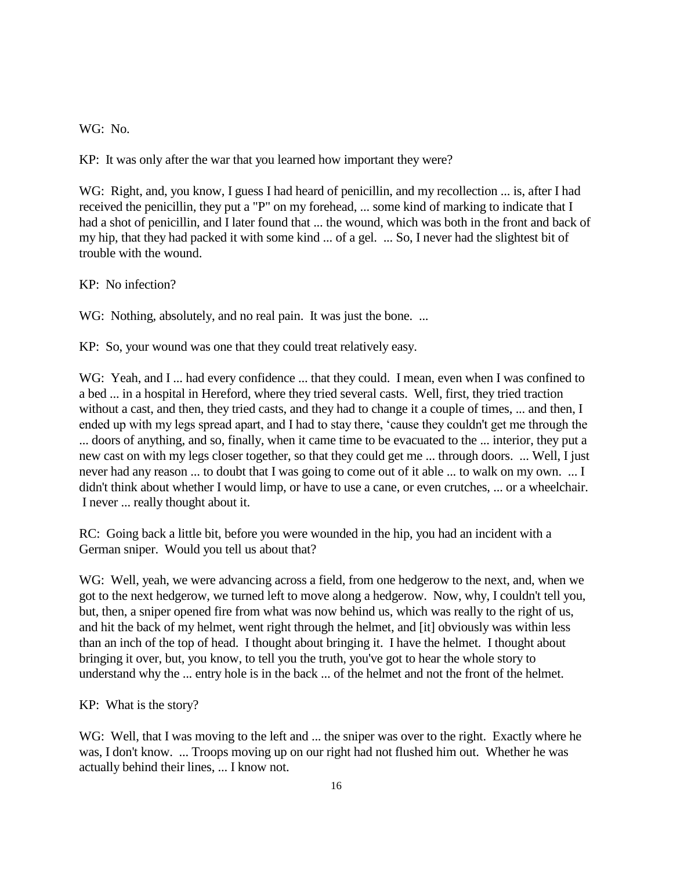WG: No.

KP: It was only after the war that you learned how important they were?

WG: Right, and, you know, I guess I had heard of penicillin, and my recollection ... is, after I had received the penicillin, they put a "P" on my forehead, ... some kind of marking to indicate that I had a shot of penicillin, and I later found that ... the wound, which was both in the front and back of my hip, that they had packed it with some kind ... of a gel. ... So, I never had the slightest bit of trouble with the wound.

KP: No infection?

WG: Nothing, absolutely, and no real pain. It was just the bone. ...

KP: So, your wound was one that they could treat relatively easy.

WG: Yeah, and I ... had every confidence ... that they could. I mean, even when I was confined to a bed ... in a hospital in Hereford, where they tried several casts. Well, first, they tried traction without a cast, and then, they tried casts, and they had to change it a couple of times, ... and then, I ended up with my legs spread apart, and I had to stay there, 'cause they couldn't get me through the ... doors of anything, and so, finally, when it came time to be evacuated to the ... interior, they put a new cast on with my legs closer together, so that they could get me ... through doors. ... Well, I just never had any reason ... to doubt that I was going to come out of it able ... to walk on my own. ... I didn't think about whether I would limp, or have to use a cane, or even crutches, ... or a wheelchair. I never ... really thought about it.

RC: Going back a little bit, before you were wounded in the hip, you had an incident with a German sniper. Would you tell us about that?

WG: Well, yeah, we were advancing across a field, from one hedgerow to the next, and, when we got to the next hedgerow, we turned left to move along a hedgerow. Now, why, I couldn't tell you, but, then, a sniper opened fire from what was now behind us, which was really to the right of us, and hit the back of my helmet, went right through the helmet, and [it] obviously was within less than an inch of the top of head. I thought about bringing it. I have the helmet. I thought about bringing it over, but, you know, to tell you the truth, you've got to hear the whole story to understand why the ... entry hole is in the back ... of the helmet and not the front of the helmet.

KP: What is the story?

WG: Well, that I was moving to the left and ... the sniper was over to the right. Exactly where he was, I don't know. ... Troops moving up on our right had not flushed him out. Whether he was actually behind their lines, ... I know not.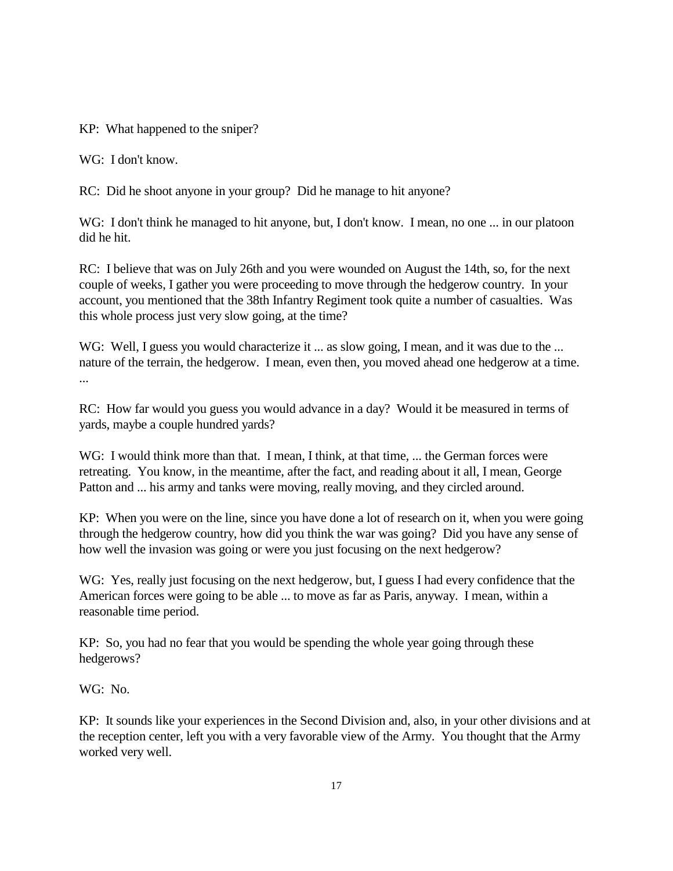KP: What happened to the sniper?

WG: I don't know.

RC: Did he shoot anyone in your group? Did he manage to hit anyone?

WG: I don't think he managed to hit anyone, but, I don't know. I mean, no one ... in our platoon did he hit.

RC: I believe that was on July 26th and you were wounded on August the 14th, so, for the next couple of weeks, I gather you were proceeding to move through the hedgerow country. In your account, you mentioned that the 38th Infantry Regiment took quite a number of casualties. Was this whole process just very slow going, at the time?

WG: Well, I guess you would characterize it ... as slow going, I mean, and it was due to the ... nature of the terrain, the hedgerow. I mean, even then, you moved ahead one hedgerow at a time. ...

RC: How far would you guess you would advance in a day? Would it be measured in terms of yards, maybe a couple hundred yards?

WG: I would think more than that. I mean, I think, at that time, ... the German forces were retreating. You know, in the meantime, after the fact, and reading about it all, I mean, George Patton and ... his army and tanks were moving, really moving, and they circled around.

KP: When you were on the line, since you have done a lot of research on it, when you were going through the hedgerow country, how did you think the war was going? Did you have any sense of how well the invasion was going or were you just focusing on the next hedgerow?

WG: Yes, really just focusing on the next hedgerow, but, I guess I had every confidence that the American forces were going to be able ... to move as far as Paris, anyway. I mean, within a reasonable time period.

KP: So, you had no fear that you would be spending the whole year going through these hedgerows?

WG: No.

KP: It sounds like your experiences in the Second Division and, also, in your other divisions and at the reception center, left you with a very favorable view of the Army. You thought that the Army worked very well.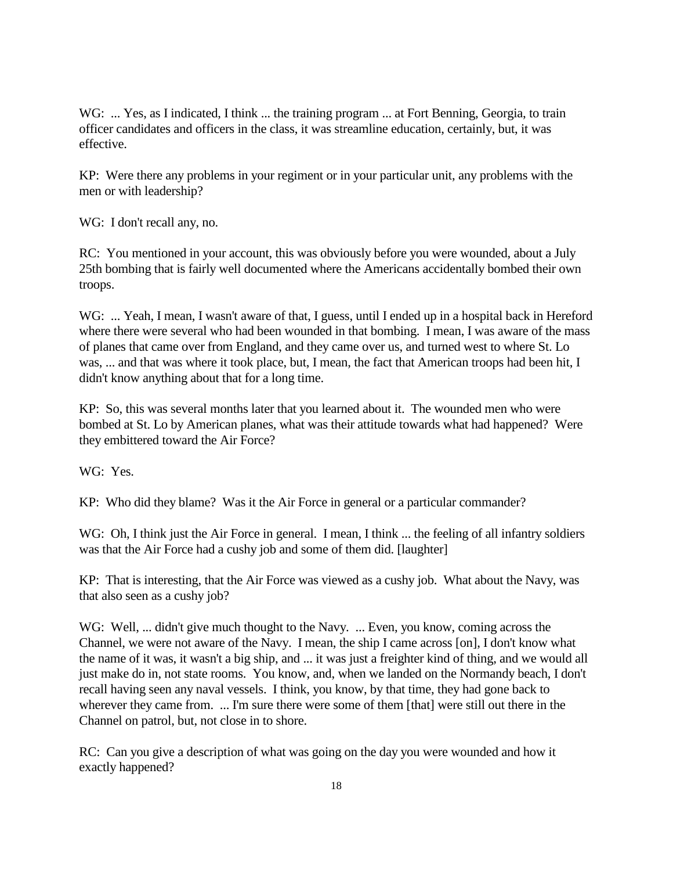WG: ... Yes, as I indicated, I think ... the training program ... at Fort Benning, Georgia, to train officer candidates and officers in the class, it was streamline education, certainly, but, it was effective.

KP: Were there any problems in your regiment or in your particular unit, any problems with the men or with leadership?

WG: I don't recall any, no.

RC: You mentioned in your account, this was obviously before you were wounded, about a July 25th bombing that is fairly well documented where the Americans accidentally bombed their own troops.

WG: ... Yeah, I mean, I wasn't aware of that, I guess, until I ended up in a hospital back in Hereford where there were several who had been wounded in that bombing. I mean, I was aware of the mass of planes that came over from England, and they came over us, and turned west to where St. Lo was, ... and that was where it took place, but, I mean, the fact that American troops had been hit, I didn't know anything about that for a long time.

KP: So, this was several months later that you learned about it. The wounded men who were bombed at St. Lo by American planes, what was their attitude towards what had happened? Were they embittered toward the Air Force?

WG: Yes.

KP: Who did they blame? Was it the Air Force in general or a particular commander?

WG: Oh, I think just the Air Force in general. I mean, I think ... the feeling of all infantry soldiers was that the Air Force had a cushy job and some of them did. [laughter]

KP: That is interesting, that the Air Force was viewed as a cushy job. What about the Navy, was that also seen as a cushy job?

WG: Well, ... didn't give much thought to the Navy. ... Even, you know, coming across the Channel, we were not aware of the Navy. I mean, the ship I came across [on], I don't know what the name of it was, it wasn't a big ship, and ... it was just a freighter kind of thing, and we would all just make do in, not state rooms. You know, and, when we landed on the Normandy beach, I don't recall having seen any naval vessels. I think, you know, by that time, they had gone back to wherever they came from. ... I'm sure there were some of them [that] were still out there in the Channel on patrol, but, not close in to shore.

RC: Can you give a description of what was going on the day you were wounded and how it exactly happened?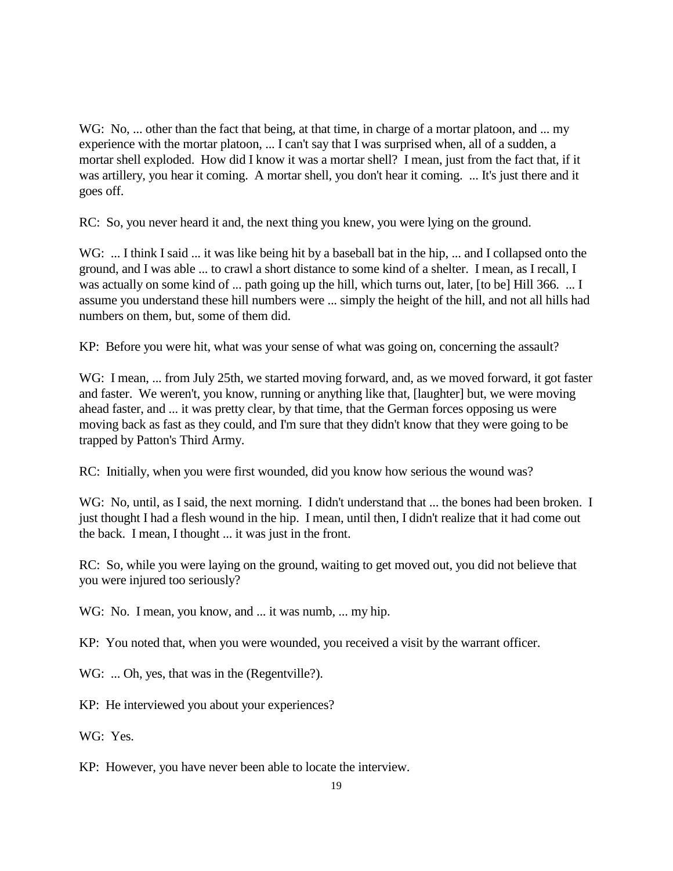WG: No, ... other than the fact that being, at that time, in charge of a mortar platoon, and ... my experience with the mortar platoon, ... I can't say that I was surprised when, all of a sudden, a mortar shell exploded. How did I know it was a mortar shell? I mean, just from the fact that, if it was artillery, you hear it coming. A mortar shell, you don't hear it coming. ... It's just there and it goes off.

RC: So, you never heard it and, the next thing you knew, you were lying on the ground.

WG: ... I think I said ... it was like being hit by a baseball bat in the hip, ... and I collapsed onto the ground, and I was able ... to crawl a short distance to some kind of a shelter. I mean, as I recall, I was actually on some kind of ... path going up the hill, which turns out, later, [to be] Hill 366. ... I assume you understand these hill numbers were ... simply the height of the hill, and not all hills had numbers on them, but, some of them did.

KP: Before you were hit, what was your sense of what was going on, concerning the assault?

WG: I mean, ... from July 25th, we started moving forward, and, as we moved forward, it got faster and faster. We weren't, you know, running or anything like that, [laughter] but, we were moving ahead faster, and ... it was pretty clear, by that time, that the German forces opposing us were moving back as fast as they could, and I'm sure that they didn't know that they were going to be trapped by Patton's Third Army.

RC: Initially, when you were first wounded, did you know how serious the wound was?

WG: No, until, as I said, the next morning. I didn't understand that ... the bones had been broken. I just thought I had a flesh wound in the hip. I mean, until then, I didn't realize that it had come out the back. I mean, I thought ... it was just in the front.

RC: So, while you were laying on the ground, waiting to get moved out, you did not believe that you were injured too seriously?

WG: No. I mean, you know, and ... it was numb, ... my hip.

KP: You noted that, when you were wounded, you received a visit by the warrant officer.

WG: ... Oh, yes, that was in the (Regentville?).

KP: He interviewed you about your experiences?

WG: Yes.

KP: However, you have never been able to locate the interview.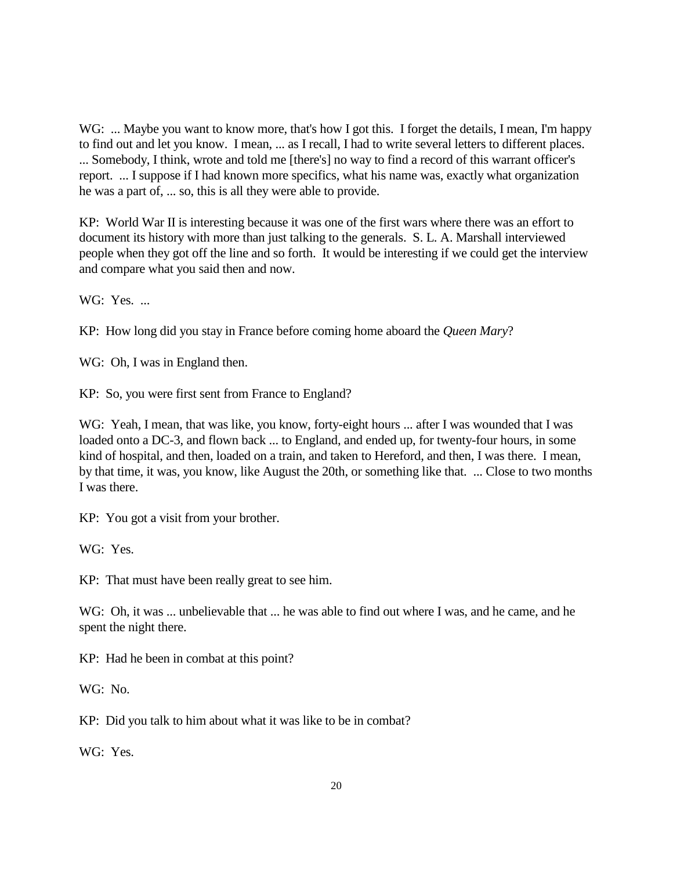WG: ... Maybe you want to know more, that's how I got this. I forget the details, I mean, I'm happy to find out and let you know. I mean, ... as I recall, I had to write several letters to different places. ... Somebody, I think, wrote and told me [there's] no way to find a record of this warrant officer's report. ... I suppose if I had known more specifics, what his name was, exactly what organization he was a part of, ... so, this is all they were able to provide.

KP: World War II is interesting because it was one of the first wars where there was an effort to document its history with more than just talking to the generals. S. L. A. Marshall interviewed people when they got off the line and so forth. It would be interesting if we could get the interview and compare what you said then and now.

WG: Yes. ...

KP: How long did you stay in France before coming home aboard the *Queen Mary*?

WG: Oh, I was in England then.

KP: So, you were first sent from France to England?

WG: Yeah, I mean, that was like, you know, forty-eight hours ... after I was wounded that I was loaded onto a DC-3, and flown back ... to England, and ended up, for twenty-four hours, in some kind of hospital, and then, loaded on a train, and taken to Hereford, and then, I was there. I mean, by that time, it was, you know, like August the 20th, or something like that. ... Close to two months I was there.

KP: You got a visit from your brother.

WG: Yes.

KP: That must have been really great to see him.

WG: Oh, it was ... unbelievable that ... he was able to find out where I was, and he came, and he spent the night there.

KP: Had he been in combat at this point?

WG: No.

KP: Did you talk to him about what it was like to be in combat?

WG: Yes.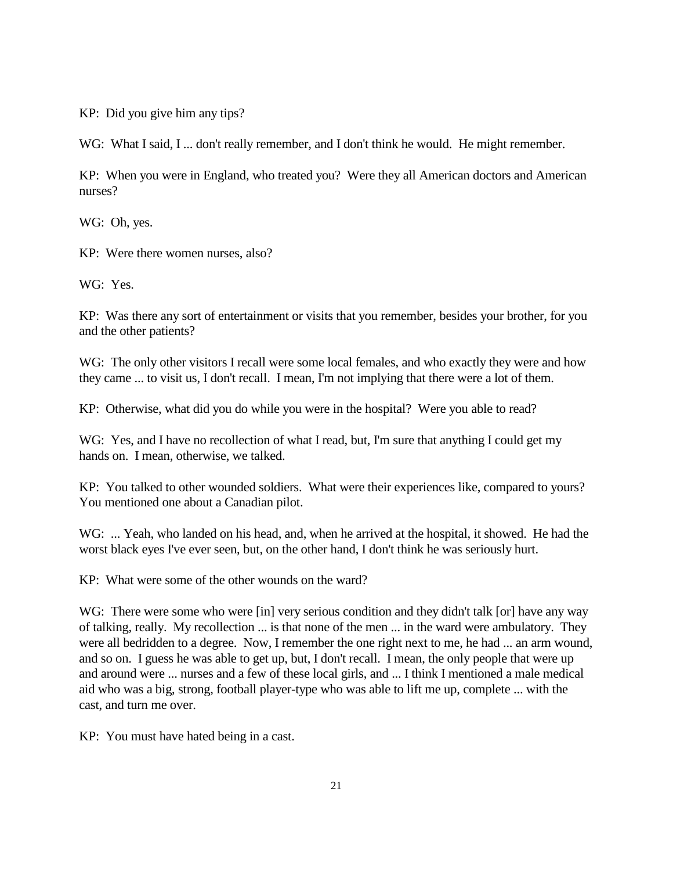KP: Did you give him any tips?

WG: What I said, I ... don't really remember, and I don't think he would. He might remember.

KP: When you were in England, who treated you? Were they all American doctors and American nurses?

WG: Oh, yes.

KP: Were there women nurses, also?

WG: Yes.

KP: Was there any sort of entertainment or visits that you remember, besides your brother, for you and the other patients?

WG: The only other visitors I recall were some local females, and who exactly they were and how they came ... to visit us, I don't recall. I mean, I'm not implying that there were a lot of them.

KP: Otherwise, what did you do while you were in the hospital? Were you able to read?

WG: Yes, and I have no recollection of what I read, but, I'm sure that anything I could get my hands on. I mean, otherwise, we talked.

KP: You talked to other wounded soldiers. What were their experiences like, compared to yours? You mentioned one about a Canadian pilot.

WG: ... Yeah, who landed on his head, and, when he arrived at the hospital, it showed. He had the worst black eyes I've ever seen, but, on the other hand, I don't think he was seriously hurt.

KP: What were some of the other wounds on the ward?

WG: There were some who were [in] very serious condition and they didn't talk [or] have any way of talking, really. My recollection ... is that none of the men ... in the ward were ambulatory. They were all bedridden to a degree. Now, I remember the one right next to me, he had ... an arm wound, and so on. I guess he was able to get up, but, I don't recall. I mean, the only people that were up and around were ... nurses and a few of these local girls, and ... I think I mentioned a male medical aid who was a big, strong, football player-type who was able to lift me up, complete ... with the cast, and turn me over.

KP: You must have hated being in a cast.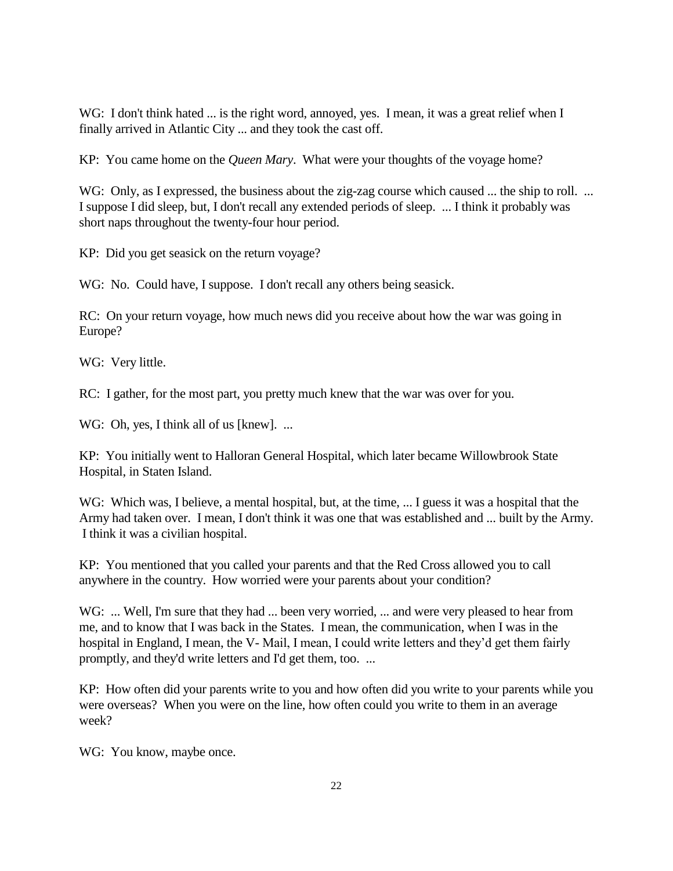WG: I don't think hated ... is the right word, annoyed, yes. I mean, it was a great relief when I finally arrived in Atlantic City ... and they took the cast off.

KP: You came home on the *Queen Mary*. What were your thoughts of the voyage home?

WG: Only, as I expressed, the business about the zig-zag course which caused ... the ship to roll. ... I suppose I did sleep, but, I don't recall any extended periods of sleep. ... I think it probably was short naps throughout the twenty-four hour period.

KP: Did you get seasick on the return voyage?

WG: No. Could have, I suppose. I don't recall any others being seasick.

RC: On your return voyage, how much news did you receive about how the war was going in Europe?

WG: Very little.

RC: I gather, for the most part, you pretty much knew that the war was over for you.

WG: Oh, yes, I think all of us [knew]. ...

KP: You initially went to Halloran General Hospital, which later became Willowbrook State Hospital, in Staten Island.

WG: Which was, I believe, a mental hospital, but, at the time, ... I guess it was a hospital that the Army had taken over. I mean, I don't think it was one that was established and ... built by the Army. I think it was a civilian hospital.

KP: You mentioned that you called your parents and that the Red Cross allowed you to call anywhere in the country. How worried were your parents about your condition?

WG: ... Well, I'm sure that they had ... been very worried, ... and were very pleased to hear from me, and to know that I was back in the States. I mean, the communication, when I was in the hospital in England, I mean, the V- Mail, I mean, I could write letters and they'd get them fairly promptly, and they'd write letters and I'd get them, too. ...

KP: How often did your parents write to you and how often did you write to your parents while you were overseas? When you were on the line, how often could you write to them in an average week?

WG: You know, maybe once.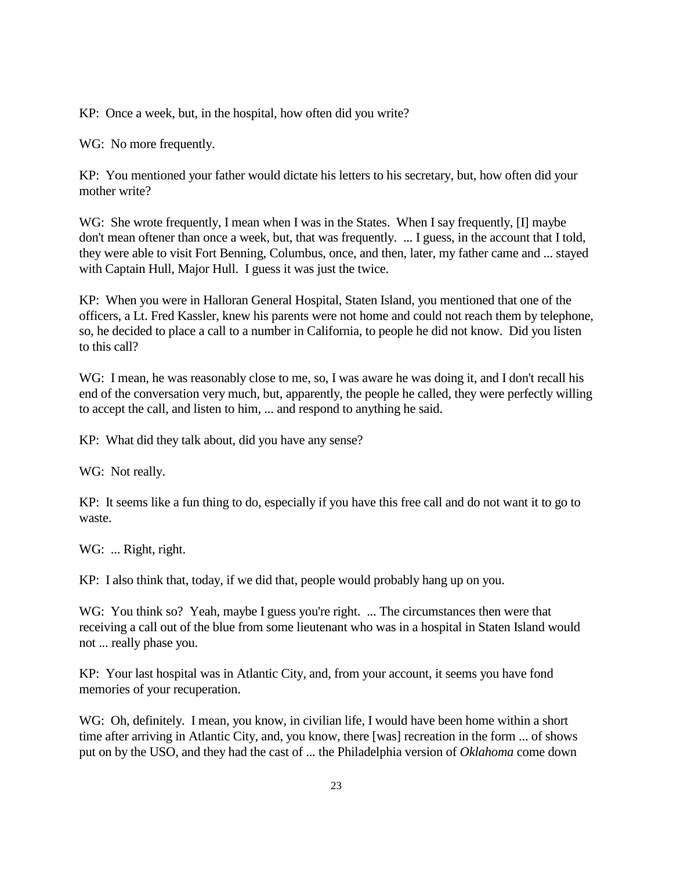KP: Once a week, but, in the hospital, how often did you write?

WG: No more frequently.

KP: You mentioned your father would dictate his letters to his secretary, but, how often did your mother write?

WG: She wrote frequently, I mean when I was in the States. When I say frequently, [I] maybe don't mean oftener than once a week, but, that was frequently. ... I guess, in the account that I told, they were able to visit Fort Benning, Columbus, once, and then, later, my father came and ... stayed with Captain Hull, Major Hull. I guess it was just the twice.

KP: When you were in Halloran General Hospital, Staten Island, you mentioned that one of the officers, a Lt. Fred Kassler, knew his parents were not home and could not reach them by telephone, so, he decided to place a call to a number in California, to people he did not know. Did you listen to this call?

WG: I mean, he was reasonably close to me, so, I was aware he was doing it, and I don't recall his end of the conversation very much, but, apparently, the people he called, they were perfectly willing to accept the call, and listen to him, ... and respond to anything he said.

KP: What did they talk about, did you have any sense?

WG: Not really.

KP: It seems like a fun thing to do, especially if you have this free call and do not want it to go to waste.

WG: ... Right, right.

KP: I also think that, today, if we did that, people would probably hang up on you.

WG: You think so? Yeah, maybe I guess you're right. ... The circumstances then were that receiving a call out of the blue from some lieutenant who was in a hospital in Staten Island would not ... really phase you.

KP: Your last hospital was in Atlantic City, and, from your account, it seems you have fond memories of your recuperation.

WG: Oh, definitely. I mean, you know, in civilian life, I would have been home within a short time after arriving in Atlantic City, and, you know, there [was] recreation in the form ... of shows put on by the USO, and they had the cast of ... the Philadelphia version of *Oklahoma* come down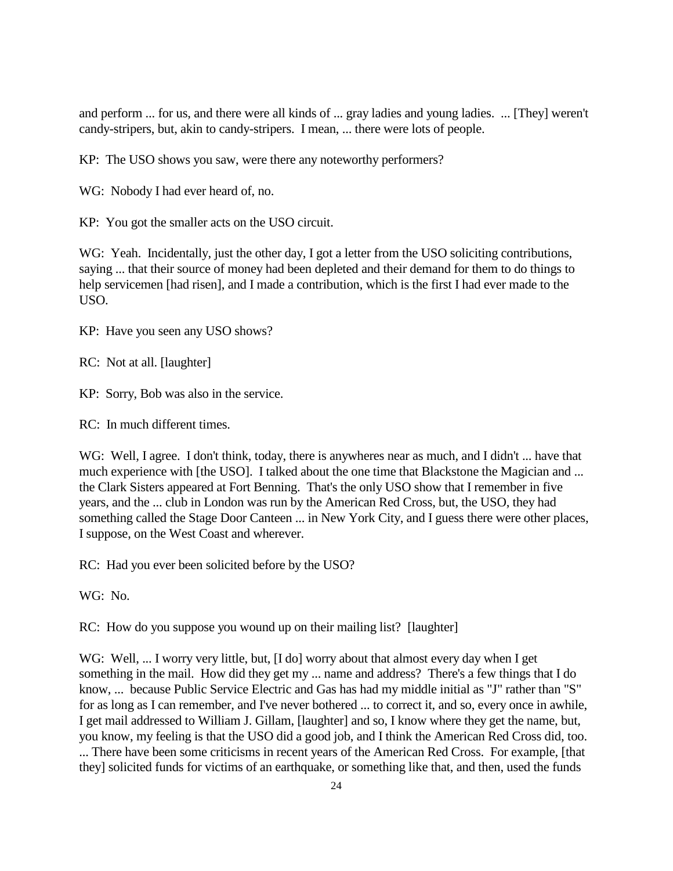and perform ... for us, and there were all kinds of ... gray ladies and young ladies. ... [They] weren't candy-stripers, but, akin to candy-stripers. I mean, ... there were lots of people.

KP: The USO shows you saw, were there any noteworthy performers?

WG: Nobody I had ever heard of, no.

KP: You got the smaller acts on the USO circuit.

WG: Yeah. Incidentally, just the other day, I got a letter from the USO soliciting contributions, saying ... that their source of money had been depleted and their demand for them to do things to help servicemen [had risen], and I made a contribution, which is the first I had ever made to the USO.

KP: Have you seen any USO shows?

RC: Not at all. [laughter]

KP: Sorry, Bob was also in the service.

RC: In much different times.

WG: Well, I agree. I don't think, today, there is anywheres near as much, and I didn't ... have that much experience with [the USO]. I talked about the one time that Blackstone the Magician and ... the Clark Sisters appeared at Fort Benning. That's the only USO show that I remember in five years, and the ... club in London was run by the American Red Cross, but, the USO, they had something called the Stage Door Canteen ... in New York City, and I guess there were other places, I suppose, on the West Coast and wherever.

RC: Had you ever been solicited before by the USO?

WG: No.

RC: How do you suppose you wound up on their mailing list? [laughter]

WG: Well, ... I worry very little, but, [I do] worry about that almost every day when I get something in the mail. How did they get my ... name and address? There's a few things that I do know, ... because Public Service Electric and Gas has had my middle initial as "J" rather than "S" for as long as I can remember, and I've never bothered ... to correct it, and so, every once in awhile, I get mail addressed to William J. Gillam, [laughter] and so, I know where they get the name, but, you know, my feeling is that the USO did a good job, and I think the American Red Cross did, too. ... There have been some criticisms in recent years of the American Red Cross. For example, [that they] solicited funds for victims of an earthquake, or something like that, and then, used the funds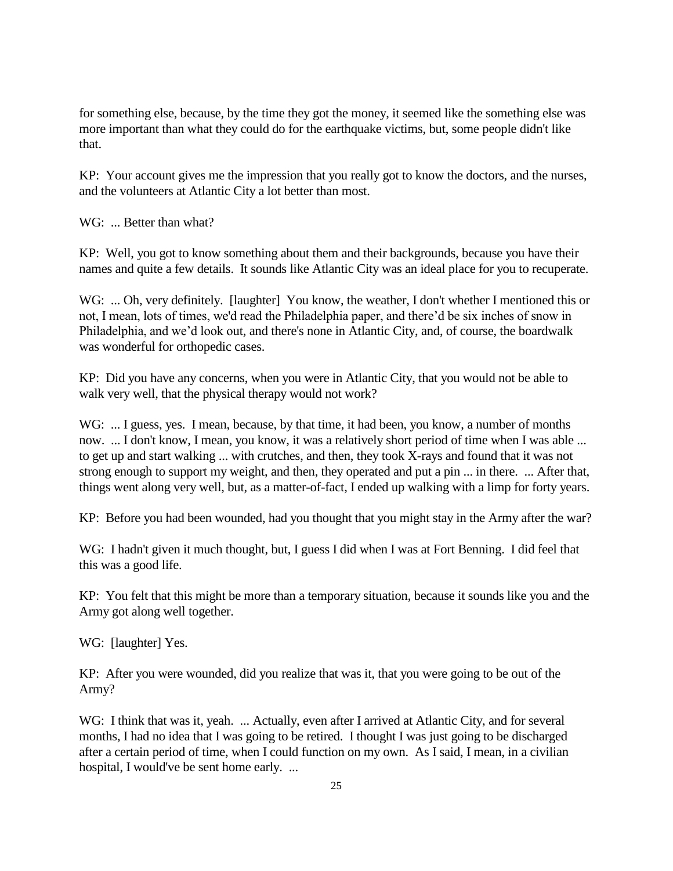for something else, because, by the time they got the money, it seemed like the something else was more important than what they could do for the earthquake victims, but, some people didn't like that.

KP: Your account gives me the impression that you really got to know the doctors, and the nurses, and the volunteers at Atlantic City a lot better than most.

WG: ... Better than what?

KP: Well, you got to know something about them and their backgrounds, because you have their names and quite a few details. It sounds like Atlantic City was an ideal place for you to recuperate.

WG: ... Oh, very definitely. [laughter] You know, the weather, I don't whether I mentioned this or not, I mean, lots of times, we'd read the Philadelphia paper, and there'd be six inches of snow in Philadelphia, and we'd look out, and there's none in Atlantic City, and, of course, the boardwalk was wonderful for orthopedic cases.

KP: Did you have any concerns, when you were in Atlantic City, that you would not be able to walk very well, that the physical therapy would not work?

WG: ... I guess, yes. I mean, because, by that time, it had been, you know, a number of months now. ... I don't know, I mean, you know, it was a relatively short period of time when I was able ... to get up and start walking ... with crutches, and then, they took X-rays and found that it was not strong enough to support my weight, and then, they operated and put a pin ... in there. ... After that, things went along very well, but, as a matter-of-fact, I ended up walking with a limp for forty years.

KP: Before you had been wounded, had you thought that you might stay in the Army after the war?

WG: I hadn't given it much thought, but, I guess I did when I was at Fort Benning. I did feel that this was a good life.

KP: You felt that this might be more than a temporary situation, because it sounds like you and the Army got along well together.

WG: [laughter] Yes.

KP: After you were wounded, did you realize that was it, that you were going to be out of the Army?

WG: I think that was it, yeah. ... Actually, even after I arrived at Atlantic City, and for several months, I had no idea that I was going to be retired. I thought I was just going to be discharged after a certain period of time, when I could function on my own. As I said, I mean, in a civilian hospital, I would've be sent home early. ...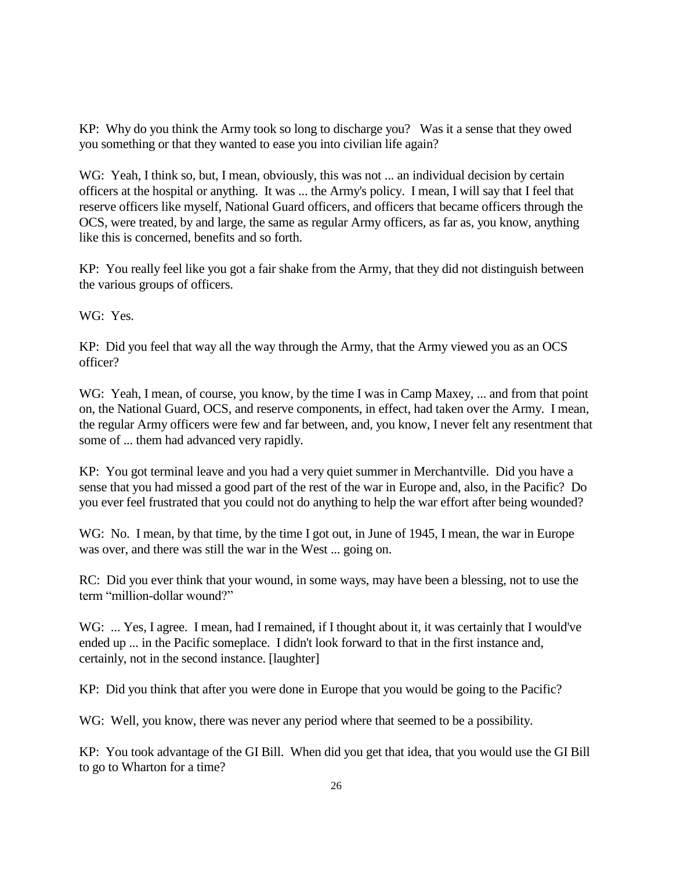KP: Why do you think the Army took so long to discharge you? Was it a sense that they owed you something or that they wanted to ease you into civilian life again?

WG: Yeah, I think so, but, I mean, obviously, this was not ... an individual decision by certain officers at the hospital or anything. It was ... the Army's policy. I mean, I will say that I feel that reserve officers like myself, National Guard officers, and officers that became officers through the OCS, were treated, by and large, the same as regular Army officers, as far as, you know, anything like this is concerned, benefits and so forth.

KP: You really feel like you got a fair shake from the Army, that they did not distinguish between the various groups of officers.

WG: Yes.

KP: Did you feel that way all the way through the Army, that the Army viewed you as an OCS officer?

WG: Yeah, I mean, of course, you know, by the time I was in Camp Maxey, ... and from that point on, the National Guard, OCS, and reserve components, in effect, had taken over the Army. I mean, the regular Army officers were few and far between, and, you know, I never felt any resentment that some of ... them had advanced very rapidly.

KP: You got terminal leave and you had a very quiet summer in Merchantville. Did you have a sense that you had missed a good part of the rest of the war in Europe and, also, in the Pacific? Do you ever feel frustrated that you could not do anything to help the war effort after being wounded?

WG: No. I mean, by that time, by the time I got out, in June of 1945, I mean, the war in Europe was over, and there was still the war in the West ... going on.

RC: Did you ever think that your wound, in some ways, may have been a blessing, not to use the term "million-dollar wound?"

WG: ... Yes, I agree. I mean, had I remained, if I thought about it, it was certainly that I would've ended up ... in the Pacific someplace. I didn't look forward to that in the first instance and, certainly, not in the second instance. [laughter]

KP: Did you think that after you were done in Europe that you would be going to the Pacific?

WG: Well, you know, there was never any period where that seemed to be a possibility.

KP: You took advantage of the GI Bill. When did you get that idea, that you would use the GI Bill to go to Wharton for a time?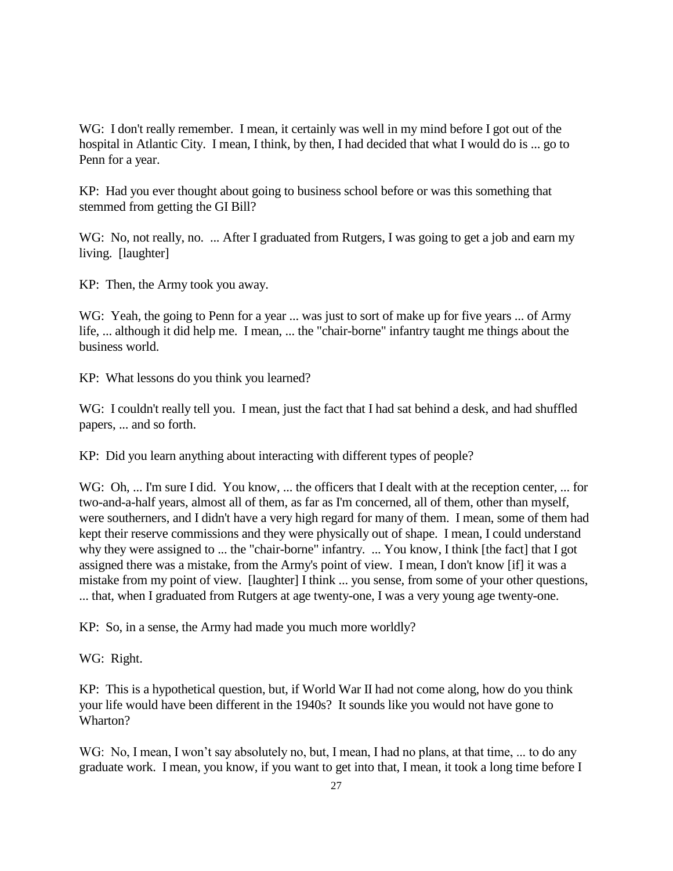WG: I don't really remember. I mean, it certainly was well in my mind before I got out of the hospital in Atlantic City. I mean, I think, by then, I had decided that what I would do is ... go to Penn for a year.

KP: Had you ever thought about going to business school before or was this something that stemmed from getting the GI Bill?

WG: No, not really, no. ... After I graduated from Rutgers, I was going to get a job and earn my living. [laughter]

KP: Then, the Army took you away.

WG: Yeah, the going to Penn for a year ... was just to sort of make up for five years ... of Army life, ... although it did help me. I mean, ... the "chair-borne" infantry taught me things about the business world.

KP: What lessons do you think you learned?

WG: I couldn't really tell you. I mean, just the fact that I had sat behind a desk, and had shuffled papers, ... and so forth.

KP: Did you learn anything about interacting with different types of people?

WG: Oh, ... I'm sure I did. You know, ... the officers that I dealt with at the reception center, ... for two-and-a-half years, almost all of them, as far as I'm concerned, all of them, other than myself, were southerners, and I didn't have a very high regard for many of them. I mean, some of them had kept their reserve commissions and they were physically out of shape. I mean, I could understand why they were assigned to ... the "chair-borne" infantry. ... You know, I think [the fact] that I got assigned there was a mistake, from the Army's point of view. I mean, I don't know [if] it was a mistake from my point of view. [laughter] I think ... you sense, from some of your other questions, ... that, when I graduated from Rutgers at age twenty-one, I was a very young age twenty-one.

KP: So, in a sense, the Army had made you much more worldly?

WG: Right.

KP: This is a hypothetical question, but, if World War II had not come along, how do you think your life would have been different in the 1940s? It sounds like you would not have gone to Wharton?

WG: No, I mean, I won't say absolutely no, but, I mean, I had no plans, at that time, ... to do any graduate work. I mean, you know, if you want to get into that, I mean, it took a long time before I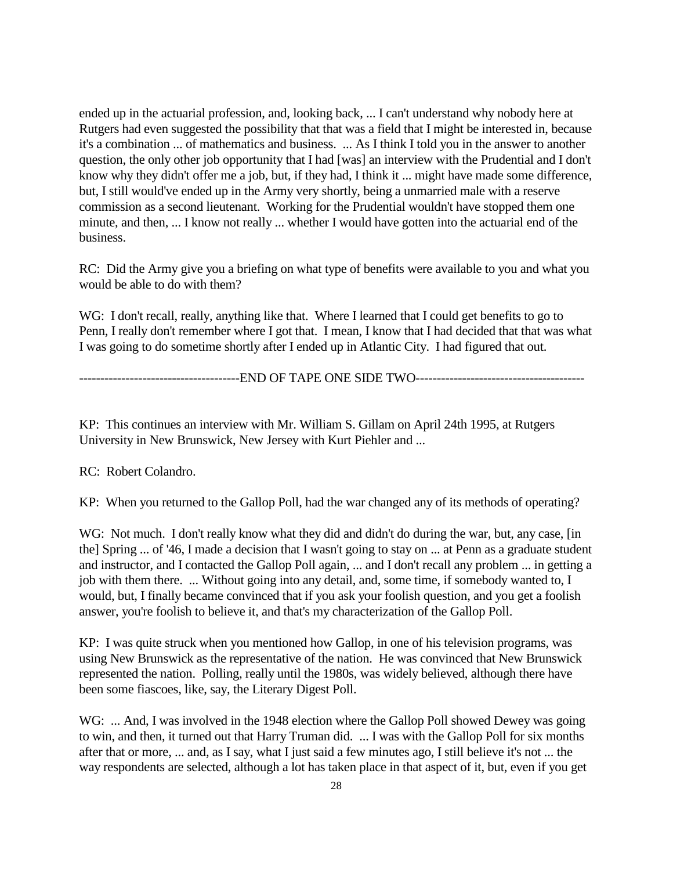ended up in the actuarial profession, and, looking back, ... I can't understand why nobody here at Rutgers had even suggested the possibility that that was a field that I might be interested in, because it's a combination ... of mathematics and business. ... As I think I told you in the answer to another question, the only other job opportunity that I had [was] an interview with the Prudential and I don't know why they didn't offer me a job, but, if they had, I think it ... might have made some difference, but, I still would've ended up in the Army very shortly, being a unmarried male with a reserve commission as a second lieutenant. Working for the Prudential wouldn't have stopped them one minute, and then, ... I know not really ... whether I would have gotten into the actuarial end of the business.

RC: Did the Army give you a briefing on what type of benefits were available to you and what you would be able to do with them?

WG: I don't recall, really, anything like that. Where I learned that I could get benefits to go to Penn, I really don't remember where I got that. I mean, I know that I had decided that that was what I was going to do sometime shortly after I ended up in Atlantic City. I had figured that out.

--------------------------------------END OF TAPE ONE SIDE TWO----------------------------------------

KP: This continues an interview with Mr. William S. Gillam on April 24th 1995, at Rutgers University in New Brunswick, New Jersey with Kurt Piehler and ...

RC: Robert Colandro.

KP: When you returned to the Gallop Poll, had the war changed any of its methods of operating?

WG: Not much. I don't really know what they did and didn't do during the war, but, any case, [in] the] Spring ... of '46, I made a decision that I wasn't going to stay on ... at Penn as a graduate student and instructor, and I contacted the Gallop Poll again, ... and I don't recall any problem ... in getting a job with them there. ... Without going into any detail, and, some time, if somebody wanted to, I would, but, I finally became convinced that if you ask your foolish question, and you get a foolish answer, you're foolish to believe it, and that's my characterization of the Gallop Poll.

KP: I was quite struck when you mentioned how Gallop, in one of his television programs, was using New Brunswick as the representative of the nation. He was convinced that New Brunswick represented the nation. Polling, really until the 1980s, was widely believed, although there have been some fiascoes, like, say, the Literary Digest Poll.

WG: ... And, I was involved in the 1948 election where the Gallop Poll showed Dewey was going to win, and then, it turned out that Harry Truman did. ... I was with the Gallop Poll for six months after that or more, ... and, as I say, what I just said a few minutes ago, I still believe it's not ... the way respondents are selected, although a lot has taken place in that aspect of it, but, even if you get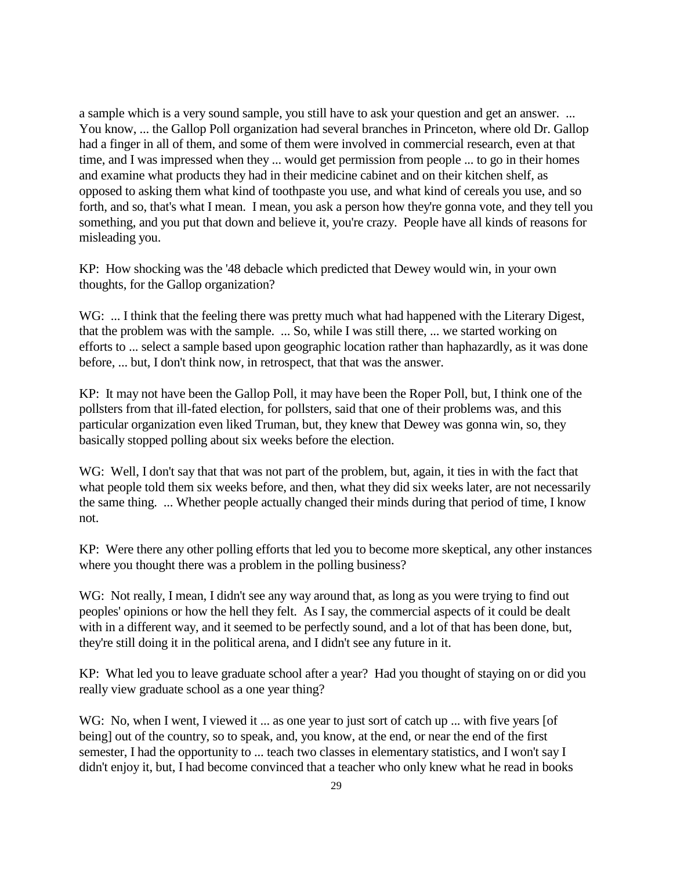a sample which is a very sound sample, you still have to ask your question and get an answer. ... You know, ... the Gallop Poll organization had several branches in Princeton, where old Dr. Gallop had a finger in all of them, and some of them were involved in commercial research, even at that time, and I was impressed when they ... would get permission from people ... to go in their homes and examine what products they had in their medicine cabinet and on their kitchen shelf, as opposed to asking them what kind of toothpaste you use, and what kind of cereals you use, and so forth, and so, that's what I mean. I mean, you ask a person how they're gonna vote, and they tell you something, and you put that down and believe it, you're crazy. People have all kinds of reasons for misleading you.

KP: How shocking was the '48 debacle which predicted that Dewey would win, in your own thoughts, for the Gallop organization?

WG: ... I think that the feeling there was pretty much what had happened with the Literary Digest, that the problem was with the sample. ... So, while I was still there, ... we started working on efforts to ... select a sample based upon geographic location rather than haphazardly, as it was done before, ... but, I don't think now, in retrospect, that that was the answer.

KP: It may not have been the Gallop Poll, it may have been the Roper Poll, but, I think one of the pollsters from that ill-fated election, for pollsters, said that one of their problems was, and this particular organization even liked Truman, but, they knew that Dewey was gonna win, so, they basically stopped polling about six weeks before the election.

WG: Well, I don't say that that was not part of the problem, but, again, it ties in with the fact that what people told them six weeks before, and then, what they did six weeks later, are not necessarily the same thing. ... Whether people actually changed their minds during that period of time, I know not.

KP: Were there any other polling efforts that led you to become more skeptical, any other instances where you thought there was a problem in the polling business?

WG: Not really, I mean, I didn't see any way around that, as long as you were trying to find out peoples' opinions or how the hell they felt. As I say, the commercial aspects of it could be dealt with in a different way, and it seemed to be perfectly sound, and a lot of that has been done, but, they're still doing it in the political arena, and I didn't see any future in it.

KP: What led you to leave graduate school after a year? Had you thought of staying on or did you really view graduate school as a one year thing?

WG: No, when I went, I viewed it ... as one year to just sort of catch up ... with five years [of being] out of the country, so to speak, and, you know, at the end, or near the end of the first semester, I had the opportunity to ... teach two classes in elementary statistics, and I won't say I didn't enjoy it, but, I had become convinced that a teacher who only knew what he read in books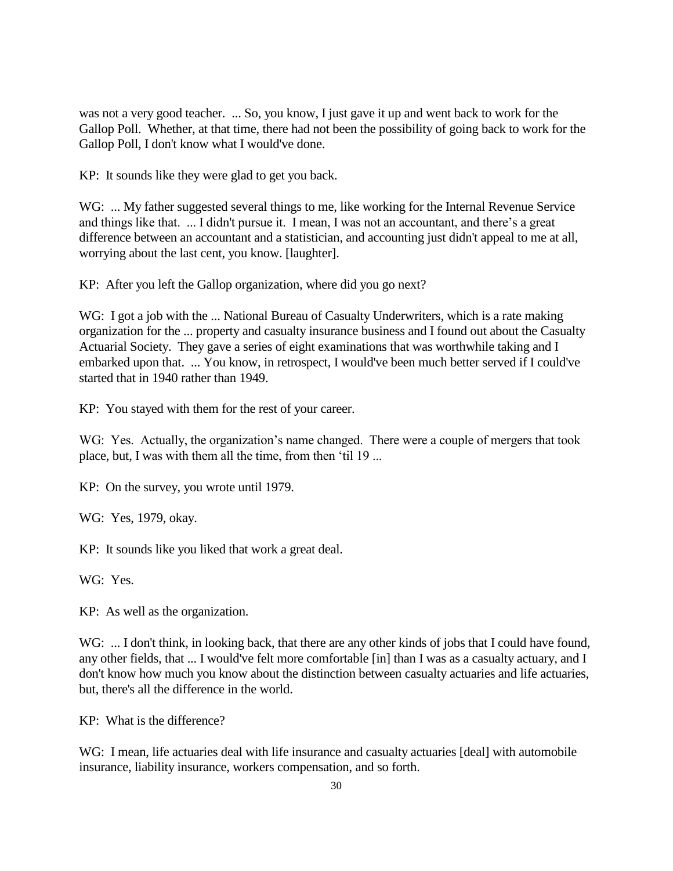was not a very good teacher. ... So, you know, I just gave it up and went back to work for the Gallop Poll. Whether, at that time, there had not been the possibility of going back to work for the Gallop Poll, I don't know what I would've done.

KP: It sounds like they were glad to get you back.

WG: ... My father suggested several things to me, like working for the Internal Revenue Service and things like that. ... I didn't pursue it. I mean, I was not an accountant, and there's a great difference between an accountant and a statistician, and accounting just didn't appeal to me at all, worrying about the last cent, you know. [laughter].

KP: After you left the Gallop organization, where did you go next?

WG: I got a job with the ... National Bureau of Casualty Underwriters, which is a rate making organization for the ... property and casualty insurance business and I found out about the Casualty Actuarial Society. They gave a series of eight examinations that was worthwhile taking and I embarked upon that. ... You know, in retrospect, I would've been much better served if I could've started that in 1940 rather than 1949.

KP: You stayed with them for the rest of your career.

WG: Yes. Actually, the organization's name changed. There were a couple of mergers that took place, but, I was with them all the time, from then 'til 19 ...

KP: On the survey, you wrote until 1979.

WG: Yes, 1979, okay.

KP: It sounds like you liked that work a great deal.

WG: Yes.

KP: As well as the organization.

WG: ... I don't think, in looking back, that there are any other kinds of jobs that I could have found, any other fields, that ... I would've felt more comfortable [in] than I was as a casualty actuary, and I don't know how much you know about the distinction between casualty actuaries and life actuaries, but, there's all the difference in the world.

KP: What is the difference?

WG: I mean, life actuaries deal with life insurance and casualty actuaries [deal] with automobile insurance, liability insurance, workers compensation, and so forth.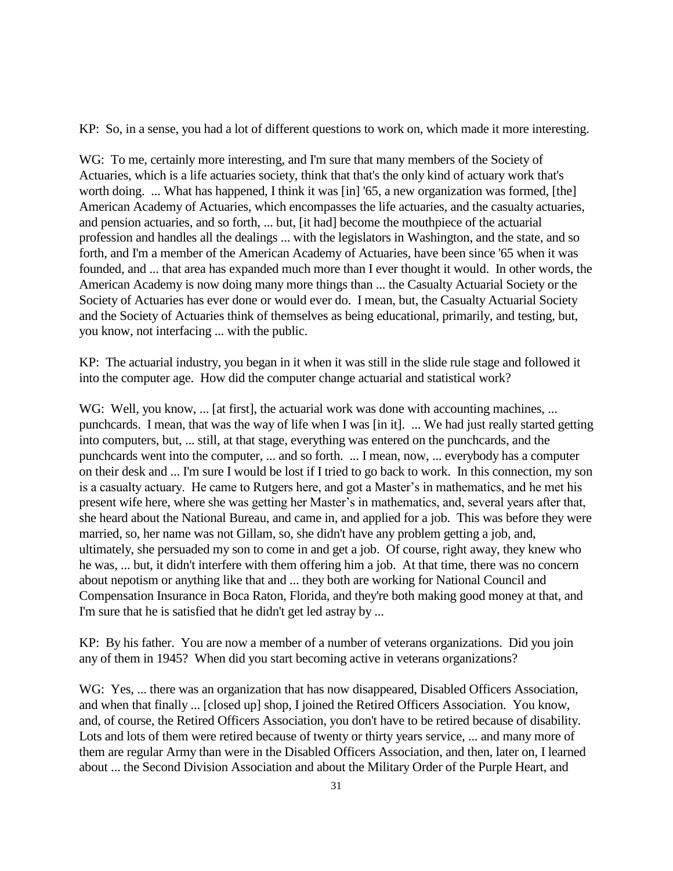KP: So, in a sense, you had a lot of different questions to work on, which made it more interesting.

WG: To me, certainly more interesting, and I'm sure that many members of the Society of Actuaries, which is a life actuaries society, think that that's the only kind of actuary work that's worth doing. ... What has happened, I think it was [in] '65, a new organization was formed, [the] American Academy of Actuaries, which encompasses the life actuaries, and the casualty actuaries, and pension actuaries, and so forth, ... but, [it had] become the mouthpiece of the actuarial profession and handles all the dealings ... with the legislators in Washington, and the state, and so forth, and I'm a member of the American Academy of Actuaries, have been since '65 when it was founded, and ... that area has expanded much more than I ever thought it would. In other words, the American Academy is now doing many more things than ... the Casualty Actuarial Society or the Society of Actuaries has ever done or would ever do. I mean, but, the Casualty Actuarial Society and the Society of Actuaries think of themselves as being educational, primarily, and testing, but, you know, not interfacing ... with the public.

KP: The actuarial industry, you began in it when it was still in the slide rule stage and followed it into the computer age. How did the computer change actuarial and statistical work?

WG: Well, you know, ... [at first], the actuarial work was done with accounting machines, ... punchcards. I mean, that was the way of life when I was [in it]. ... We had just really started getting into computers, but, ... still, at that stage, everything was entered on the punchcards, and the punchcards went into the computer, ... and so forth. ... I mean, now, ... everybody has a computer on their desk and ... I'm sure I would be lost if I tried to go back to work. In this connection, my son is a casualty actuary. He came to Rutgers here, and got a Master's in mathematics, and he met his present wife here, where she was getting her Master's in mathematics, and, several years after that, she heard about the National Bureau, and came in, and applied for a job. This was before they were married, so, her name was not Gillam, so, she didn't have any problem getting a job, and, ultimately, she persuaded my son to come in and get a job. Of course, right away, they knew who he was, ... but, it didn't interfere with them offering him a job. At that time, there was no concern about nepotism or anything like that and ... they both are working for National Council and Compensation Insurance in Boca Raton, Florida, and they're both making good money at that, and I'm sure that he is satisfied that he didn't get led astray by ...

KP: By his father. You are now a member of a number of veterans organizations. Did you join any of them in 1945? When did you start becoming active in veterans organizations?

WG: Yes, ... there was an organization that has now disappeared, Disabled Officers Association, and when that finally ... [closed up] shop, I joined the Retired Officers Association. You know, and, of course, the Retired Officers Association, you don't have to be retired because of disability. Lots and lots of them were retired because of twenty or thirty years service, ... and many more of them are regular Army than were in the Disabled Officers Association, and then, later on, I learned about ... the Second Division Association and about the Military Order of the Purple Heart, and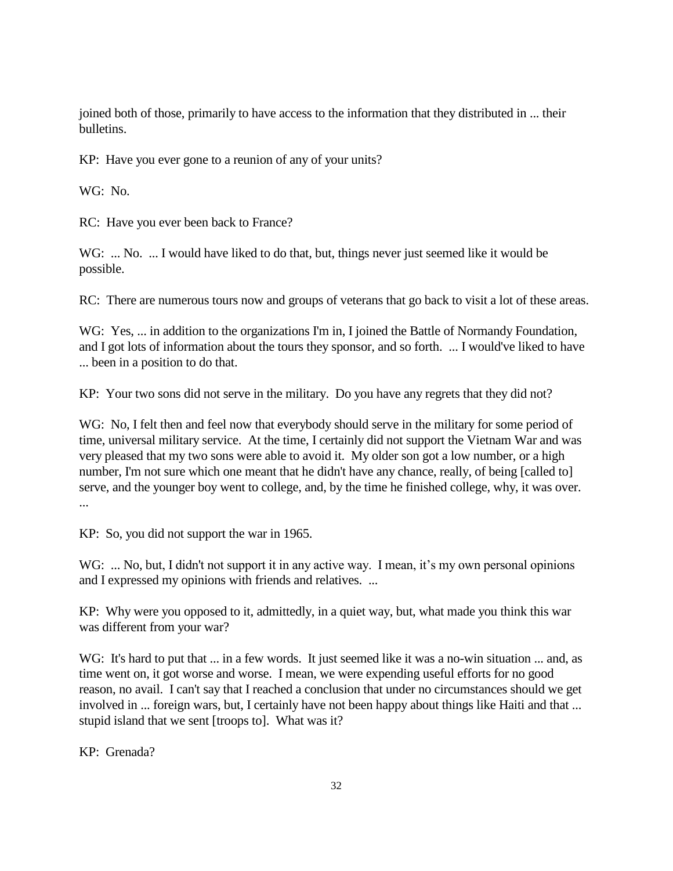joined both of those, primarily to have access to the information that they distributed in ... their bulletins.

KP: Have you ever gone to a reunion of any of your units?

WG: No.

RC: Have you ever been back to France?

WG: ... No. ... I would have liked to do that, but, things never just seemed like it would be possible.

RC: There are numerous tours now and groups of veterans that go back to visit a lot of these areas.

WG: Yes, ... in addition to the organizations I'm in, I joined the Battle of Normandy Foundation, and I got lots of information about the tours they sponsor, and so forth. ... I would've liked to have ... been in a position to do that.

KP: Your two sons did not serve in the military. Do you have any regrets that they did not?

WG: No, I felt then and feel now that everybody should serve in the military for some period of time, universal military service. At the time, I certainly did not support the Vietnam War and was very pleased that my two sons were able to avoid it. My older son got a low number, or a high number, I'm not sure which one meant that he didn't have any chance, really, of being [called to] serve, and the younger boy went to college, and, by the time he finished college, why, it was over. ...

KP: So, you did not support the war in 1965.

WG: ... No, but, I didn't not support it in any active way. I mean, it's my own personal opinions and I expressed my opinions with friends and relatives. ...

KP: Why were you opposed to it, admittedly, in a quiet way, but, what made you think this war was different from your war?

WG: It's hard to put that ... in a few words. It just seemed like it was a no-win situation ... and, as time went on, it got worse and worse. I mean, we were expending useful efforts for no good reason, no avail. I can't say that I reached a conclusion that under no circumstances should we get involved in ... foreign wars, but, I certainly have not been happy about things like Haiti and that ... stupid island that we sent [troops to]. What was it?

KP: Grenada?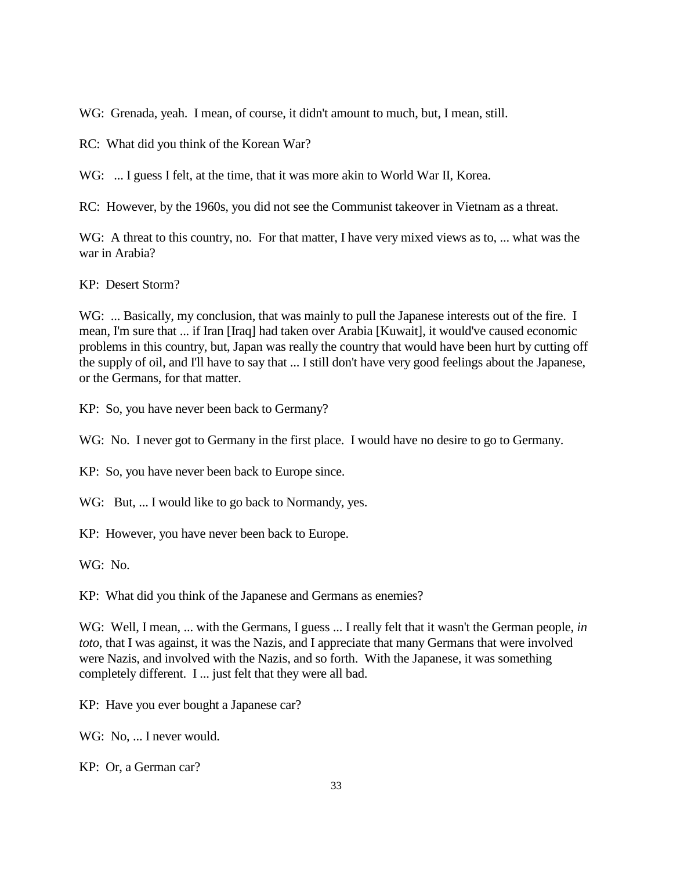WG: Grenada, yeah. I mean, of course, it didn't amount to much, but, I mean, still.

RC: What did you think of the Korean War?

WG: ... I guess I felt, at the time, that it was more akin to World War II, Korea.

RC: However, by the 1960s, you did not see the Communist takeover in Vietnam as a threat.

WG: A threat to this country, no. For that matter, I have very mixed views as to, ... what was the war in Arabia?

KP: Desert Storm?

WG: ... Basically, my conclusion, that was mainly to pull the Japanese interests out of the fire. I mean, I'm sure that ... if Iran [Iraq] had taken over Arabia [Kuwait], it would've caused economic problems in this country, but, Japan was really the country that would have been hurt by cutting off the supply of oil, and I'll have to say that ... I still don't have very good feelings about the Japanese, or the Germans, for that matter.

KP: So, you have never been back to Germany?

WG: No. I never got to Germany in the first place. I would have no desire to go to Germany.

KP: So, you have never been back to Europe since.

WG: But, ... I would like to go back to Normandy, yes.

KP: However, you have never been back to Europe.

WG: No.

KP: What did you think of the Japanese and Germans as enemies?

WG: Well, I mean, ... with the Germans, I guess ... I really felt that it wasn't the German people, *in toto*, that I was against, it was the Nazis, and I appreciate that many Germans that were involved were Nazis, and involved with the Nazis, and so forth. With the Japanese, it was something completely different. I ... just felt that they were all bad.

KP: Have you ever bought a Japanese car?

WG: No, ... I never would.

KP: Or, a German car?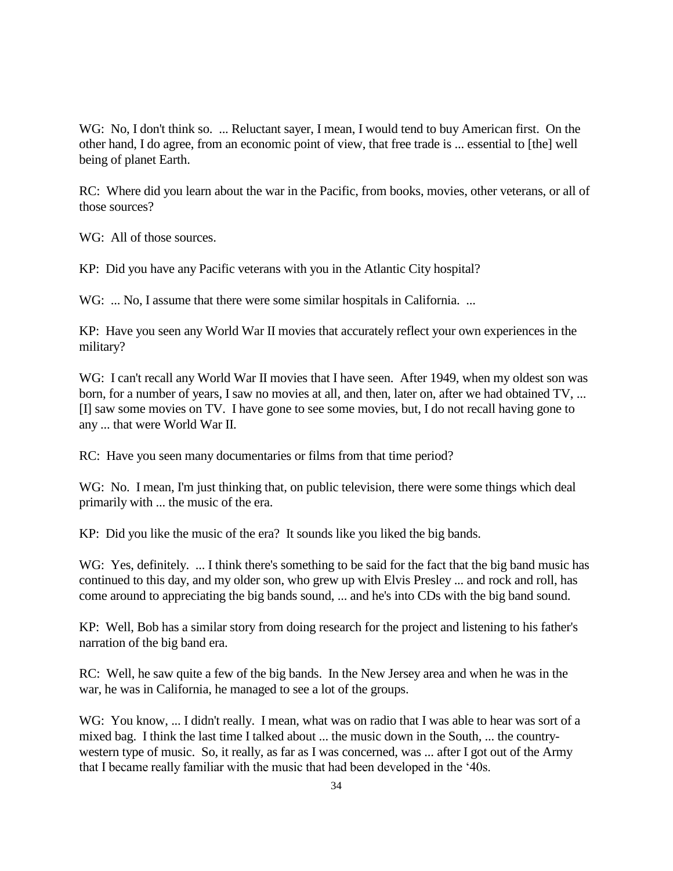WG: No, I don't think so. ... Reluctant sayer, I mean, I would tend to buy American first. On the other hand, I do agree, from an economic point of view, that free trade is ... essential to [the] well being of planet Earth.

RC: Where did you learn about the war in the Pacific, from books, movies, other veterans, or all of those sources?

WG: All of those sources.

KP: Did you have any Pacific veterans with you in the Atlantic City hospital?

WG: ... No, I assume that there were some similar hospitals in California. ...

KP: Have you seen any World War II movies that accurately reflect your own experiences in the military?

WG: I can't recall any World War II movies that I have seen. After 1949, when my oldest son was born, for a number of years, I saw no movies at all, and then, later on, after we had obtained TV, ... [I] saw some movies on TV. I have gone to see some movies, but, I do not recall having gone to any ... that were World War II.

RC: Have you seen many documentaries or films from that time period?

WG: No. I mean, I'm just thinking that, on public television, there were some things which deal primarily with ... the music of the era.

KP: Did you like the music of the era? It sounds like you liked the big bands.

WG: Yes, definitely. ... I think there's something to be said for the fact that the big band music has continued to this day, and my older son, who grew up with Elvis Presley ... and rock and roll, has come around to appreciating the big bands sound, ... and he's into CDs with the big band sound.

KP: Well, Bob has a similar story from doing research for the project and listening to his father's narration of the big band era.

RC: Well, he saw quite a few of the big bands. In the New Jersey area and when he was in the war, he was in California, he managed to see a lot of the groups.

WG: You know, ... I didn't really. I mean, what was on radio that I was able to hear was sort of a mixed bag. I think the last time I talked about ... the music down in the South, ... the countrywestern type of music. So, it really, as far as I was concerned, was ... after I got out of the Army that I became really familiar with the music that had been developed in the '40s.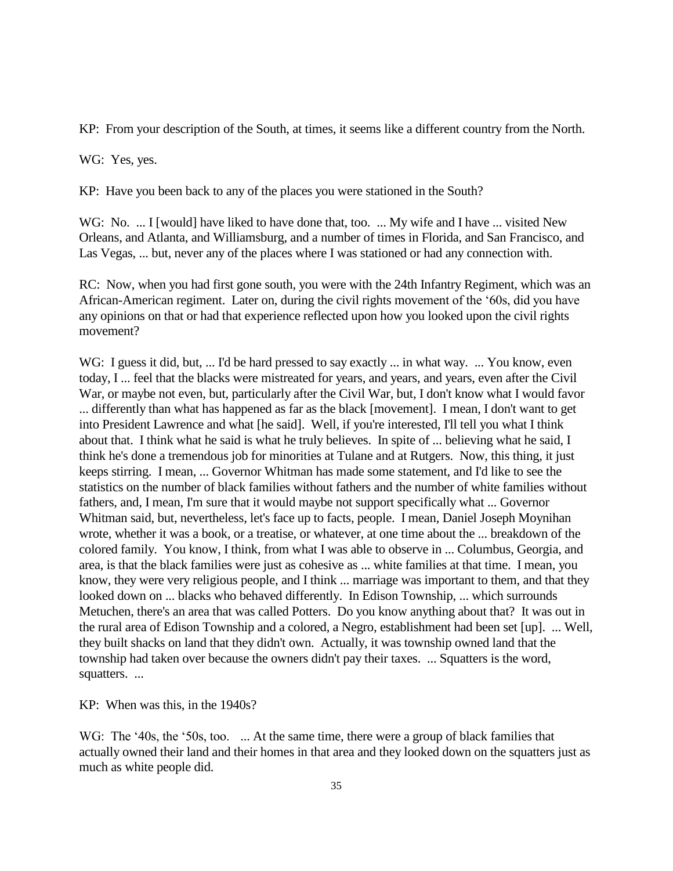KP: From your description of the South, at times, it seems like a different country from the North.

WG: Yes, yes.

KP: Have you been back to any of the places you were stationed in the South?

WG: No. ... I [would] have liked to have done that, too. ... My wife and I have ... visited New Orleans, and Atlanta, and Williamsburg, and a number of times in Florida, and San Francisco, and Las Vegas, ... but, never any of the places where I was stationed or had any connection with.

RC: Now, when you had first gone south, you were with the 24th Infantry Regiment, which was an African-American regiment. Later on, during the civil rights movement of the '60s, did you have any opinions on that or had that experience reflected upon how you looked upon the civil rights movement?

WG: I guess it did, but, ... I'd be hard pressed to say exactly ... in what way. ... You know, even today, I ... feel that the blacks were mistreated for years, and years, and years, even after the Civil War, or maybe not even, but, particularly after the Civil War, but, I don't know what I would favor ... differently than what has happened as far as the black [movement]. I mean, I don't want to get into President Lawrence and what [he said]. Well, if you're interested, I'll tell you what I think about that. I think what he said is what he truly believes. In spite of ... believing what he said, I think he's done a tremendous job for minorities at Tulane and at Rutgers. Now, this thing, it just keeps stirring. I mean, ... Governor Whitman has made some statement, and I'd like to see the statistics on the number of black families without fathers and the number of white families without fathers, and, I mean, I'm sure that it would maybe not support specifically what ... Governor Whitman said, but, nevertheless, let's face up to facts, people. I mean, Daniel Joseph Moynihan wrote, whether it was a book, or a treatise, or whatever, at one time about the ... breakdown of the colored family. You know, I think, from what I was able to observe in ... Columbus, Georgia, and area, is that the black families were just as cohesive as ... white families at that time. I mean, you know, they were very religious people, and I think ... marriage was important to them, and that they looked down on ... blacks who behaved differently. In Edison Township, ... which surrounds Metuchen, there's an area that was called Potters. Do you know anything about that? It was out in the rural area of Edison Township and a colored, a Negro, establishment had been set [up]. ... Well, they built shacks on land that they didn't own. Actually, it was township owned land that the township had taken over because the owners didn't pay their taxes. ... Squatters is the word, squatters. ...

KP: When was this, in the 1940s?

WG: The '40s, the '50s, too. ... At the same time, there were a group of black families that actually owned their land and their homes in that area and they looked down on the squatters just as much as white people did.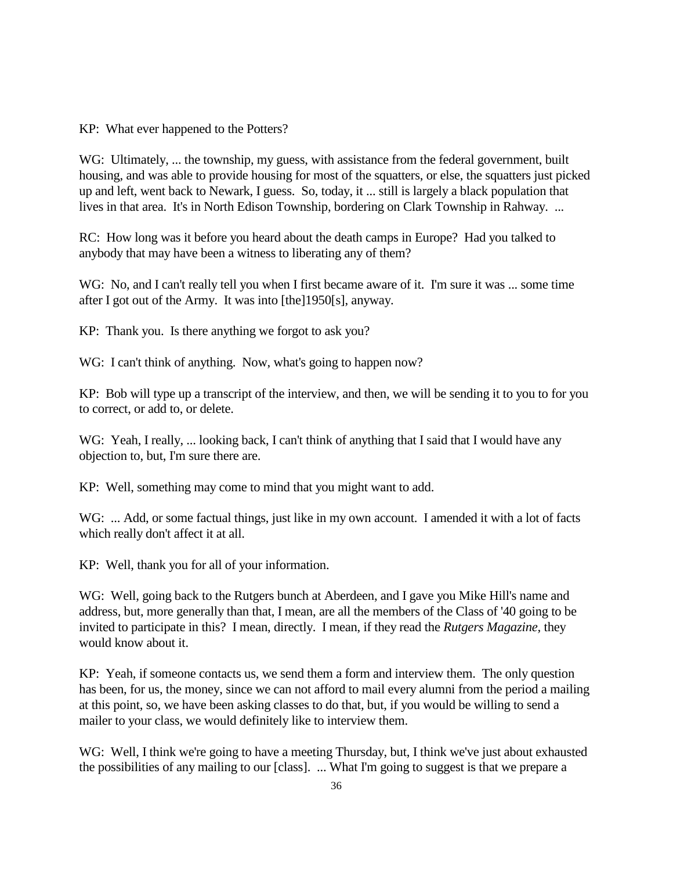KP: What ever happened to the Potters?

WG: Ultimately, ... the township, my guess, with assistance from the federal government, built housing, and was able to provide housing for most of the squatters, or else, the squatters just picked up and left, went back to Newark, I guess. So, today, it ... still is largely a black population that lives in that area. It's in North Edison Township, bordering on Clark Township in Rahway. ...

RC: How long was it before you heard about the death camps in Europe? Had you talked to anybody that may have been a witness to liberating any of them?

WG: No, and I can't really tell you when I first became aware of it. I'm sure it was ... some time after I got out of the Army. It was into [the]1950[s], anyway.

KP: Thank you. Is there anything we forgot to ask you?

WG: I can't think of anything. Now, what's going to happen now?

KP: Bob will type up a transcript of the interview, and then, we will be sending it to you to for you to correct, or add to, or delete.

WG: Yeah, I really, ... looking back, I can't think of anything that I said that I would have any objection to, but, I'm sure there are.

KP: Well, something may come to mind that you might want to add.

WG: ... Add, or some factual things, just like in my own account. I amended it with a lot of facts which really don't affect it at all.

KP: Well, thank you for all of your information.

WG: Well, going back to the Rutgers bunch at Aberdeen, and I gave you Mike Hill's name and address, but, more generally than that, I mean, are all the members of the Class of '40 going to be invited to participate in this? I mean, directly. I mean, if they read the *Rutgers Magazine,* they would know about it.

KP: Yeah, if someone contacts us, we send them a form and interview them. The only question has been, for us, the money, since we can not afford to mail every alumni from the period a mailing at this point, so, we have been asking classes to do that, but, if you would be willing to send a mailer to your class, we would definitely like to interview them.

WG: Well, I think we're going to have a meeting Thursday, but, I think we've just about exhausted the possibilities of any mailing to our [class]. ... What I'm going to suggest is that we prepare a